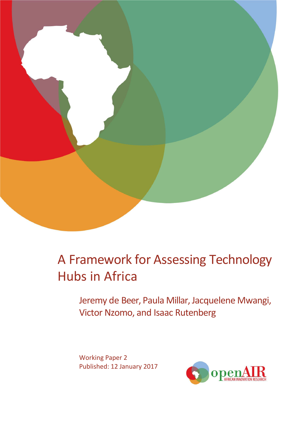

# A Framework for Assessing Technology Hubs in Africa

Jeremy de Beer, Paula Millar, Jacquelene Mwangi, Victor Nzomo, and Isaac Rutenberg

Working Paper 2 Published: 12 January 2017

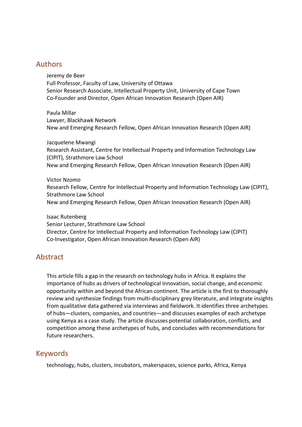### Authors

Jeremy de Beer Full Professor, Faculty of Law, University of Ottawa Senior Research Associate, Intellectual Property Unit, University of Cape Town Co-Founder and Director, Open African Innovation Research (Open AIR)

Paula Millar Lawyer, Blackhawk Network New and Emerging Research Fellow, Open African Innovation Research (Open AIR)

Jacquelene Mwangi Research Assistant, Centre for Intellectual Property and Information Technology Law (CIPIT), Strathmore Law School New and Emerging Research Fellow, Open African Innovation Research (Open AIR)

Victor Nzomo Research Fellow, Centre for Intellectual Property and Information Technology Law (CIPIT), Strathmore Law School New and Emerging Research Fellow, Open African Innovation Research (Open AIR)

Isaac Rutenberg Senior Lecturer, Strathmore Law School Director, Centre for Intellectual Property and Information Technology Law (CIPIT) Co-Investigator, Open African Innovation Research (Open AIR)

### Abstract

This article fills a gap in the research on technology hubs in Africa. It explains the importance of hubs as drivers of technological innovation, social change, and economic opportunity within and beyond the African continent. The article is the first to thoroughly review and synthesize findings from multi-disciplinary grey literature, and integrate insights from qualitative data gathered via interviews and fieldwork. It identifies three archetypes of hubs—clusters, companies, and countries—and discusses examples of each archetype using Kenya as a case study. The article discusses potential collaboration, conflicts, and competition among these archetypes of hubs, and concludes with recommendations for future researchers.

### Keywords

technology, hubs, clusters, incubators, makerspaces, science parks, Africa, Kenya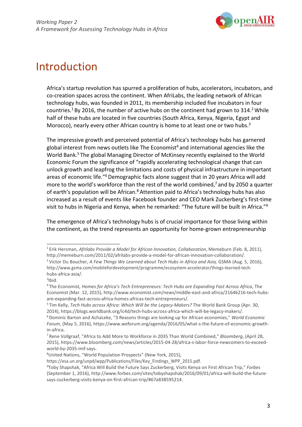

### Introduction

Africa's startup revolution has spurred a proliferation of hubs, accelerators, incubators, and co-creation spaces across the continent. When AfriLabs, the leading network of African technology hubs, was founded in 2011, its membership included five incubators in four countries.<sup>1</sup> By 2016, the number of active hubs on the continent had grown to 314.<sup>2</sup> While half of these hubs are located in five countries (South Africa, Kenya, Nigeria, Egypt and Morocco), nearly every other African country is home to at least one or two hubs. $3$ 

The impressive growth and perceived potential of Africa's technology hubs has garnered global interest from news outlets like The Economist<sup>4</sup> and international agencies like the World Bank.<sup>5</sup> The global Managing Director of McKinsey recently explained to the World Economic Forum the significance of "rapidly accelerating technological change that can unlock growth and leapfrog the limitations and costs of physical infrastructure in important areas of economic life."6 Demographic facts alone suggest that in 20 years Africa will add more to the world's workforce than the rest of the world combined,<sup>7</sup> and by 2050 a quarter of earth's population will be African.<sup>8</sup> Attention paid to Africa's technology hubs has also increased as a result of events like Facebook founder and CEO Mark Zuckerberg's first-time visit to hubs in Nigeria and Kenya, when he remarked: "The future will be built in Africa."9

The emergence of Africa's technology hubs is of crucial importance for those living within the continent, as the trend represents an opportunity for home-grown entrepreneurship

<sup>1</sup> Erik Hersman, *Afrilabs Provide a Model for African Innovation, Collaboration*, Memeburn (Feb. 8, 2011)[,](http://memeburn.com/2011/02/afrilabs-provide-a-model-for-african-innovation-collaboration/) [http://memeburn.com/2011/02/afrilabs-provide-a-model-for-african-innovation-collaboration/.](http://memeburn.com/2011/02/afrilabs-provide-a-model-for-african-innovation-collaboration/)

<sup>&</sup>lt;sup>2</sup> Victor Du Boucher[,](http://www.gsma.com/mobilefordevelopment/programme/ecosystem-accelerator/things-learned-tech-) *A Few Things We Learned about Tech Hubs in Africa and Asia, GSMA (Aug. 5, 2016),* [http://www.gsma.com/mobilefordevelopment/programme/ecosystem-accelerator/things-learned-tech](http://www.gsma.com/mobilefordevelopment/programme/ecosystem-accelerator/things-learned-tech-)hubs-africa-asia/.

 $3$ Ibid.

<sup>4</sup> The Economist*, Homes for Africa's Tech Entrepreneurs: Tech Hubs are Expanding Fast Across Africa*, The Economist (Mar. 12, 2015)[, http://www.economist.com/news/middle-east-and-africa/21646216-tech-hubs](http://www.economist.com/news/middle-east-and-africa/21646216-tech-hubs-)are-expanding-fast-across-africa-homes-africas-tech-entrepreneurs/.

<sup>5</sup> Tim Kelly, *Tech Hubs across Africa: Which Will be the Legacy-Makers?* The World Bank Group (Apr. 30, 2014), https://blogs.worldbank.org/ic4d/tech-hubs-across-africa-which-will-be-legacy-makers/.

<sup>6</sup> Dominic Barton and AchaLeke, "3 Reasons things are looking up for African economies," *World Economic Forum*, (May 5, 2016), https:[//www.weforum.org/agenda/2016/05/what-s-the-future-of-economic-growth](http://www.weforum.org/agenda/2016/05/what-s-the-future-of-economic-growth-)in-africa.

<sup>7</sup> Rene Vollgraaf, "Africa to Add More to Workforce in 2035 Than World Combined," *Bloomberg*, (April 28, 2015), https:[//www.bloomberg.com/news/articles/2015-04-28/africa-s-labor-force-newcomers-to-exceed](http://www.bloomberg.com/news/articles/2015-04-28/africa-s-labor-force-newcomers-to-exceed-)world-by-2035-imf-says.

<sup>8</sup> United Nations, "World Population Prospects" (New York, 2015),

https://esa.un.org/unpd/wpp/Publications/Files/Key\_Findings\_WPP\_2015.pdf.

<sup>9</sup> Toby Shapshak, "Africa Will Build the Future Says Zuckerberg, Visits Kenya on First African Trip," *Forbes*  (September 1, 2016), [http://www.forbes.com/sites/tobyshapshak/2016/09/01/africa-will-build-the-future](http://www.forbes.com/sites/tobyshapshak/2016/09/01/africa-will-build-the-future-)says-zuckerberg-visits-kenya-on-first-african-trip/#67a838595214.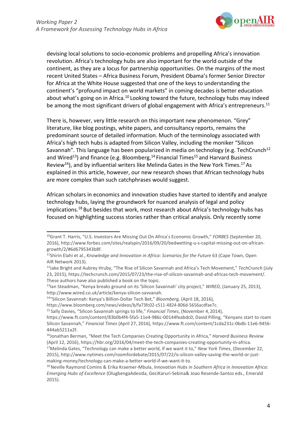

devising local solutions to socio-economic problems and propelling Africa's innovation revolution. Africa's technology hubs are also important for the world outside of the continent, as they are a locus for partnership opportunities. On the margins of the most recent United States – Africa Business Forum, President Obama's former Senior Director for Africa at the White House suggested that one of the keys to understanding the continent's "profound impact on world markets" in coming decades is better education about what's going on in Africa.<sup>10</sup> Looking toward the future, technology hubs may indeed be among the most significant drivers of global engagement with Africa's entrepreneurs.<sup>11</sup>

There is, however, very little research on this important new phenomenon. "Grey" literature, like blog postings, white papers, and consultancy reports, remains the predominant source of detailed information. Much of the terminology associated with Africa's high tech hubs is adapted from Silicon Valley, including the moniker "Silicon Savannah". This language has been popularized in media on technology (e.g. TechCrunch<sup>12</sup> and Wired<sup>13</sup>) and finance (e.g. Bloomberg, <sup>14</sup> Financial Times<sup>15</sup> and Harvard Business Review<sup>16</sup>), and by influential writers like Melinda Gates in the New York Times.<sup>17</sup> As explained in this article, however, our new research shows that African technology hubs are more complex than such catchphrases would suggest.

African scholars in economics and innovation studies have started to identify and analyze technology hubs, laying the groundwork for nuanced analysis of legal and policy implications.<sup>18</sup> But besides that work, most research about Africa's technology hubs has focused on highlighting success stories rather than critical analysis. Only recently some

<sup>10</sup>Grant T. Harris, "U.S. Investors Are Missing Out On Africa's Economic Growth," *FORBES* (September 20, 2016), [http://www.forbes.com/sites/realspin/2016/09/20/bedwetting-u-s-capital-missing-out-on-african](http://www.forbes.com/sites/realspin/2016/09/20/bedwetting-u-s-capital-missing-out-on-african-)growth/2/#6d6795343b8f.

<sup>&</sup>lt;sup>11</sup>Shirin Elahi et al., *Knowledge and Innovation in Africa: Scenarios for the Future* 63 (Cape Town, Open AIR Network 2013).

<sup>12</sup>Jake Bright and Aubrey Hruby, "The Rise of Silicon Savannah and Africa's Tech Movement," *TechCrunch* (July 23, 2015), https://techcrunch.com/2015/07/23/the-rise-of-silicon-savannah-and-africas-tech-movement/. These authors have also published a book on the topic.

<sup>13</sup>Ian Steadman, "Kenya breaks ground on its 'Silicon Savannah' city project," *WIRED*, (January 25, 2013)[,](http://www.wired.co.uk/article/kenya-silicon-savvanah) [http://www.wired.co.uk/article/kenya-silicon-savvanah.](http://www.wired.co.uk/article/kenya-silicon-savvanah)

<sup>14&</sup>quot;Silicon Savannah: Kenya's Billion-Dollar Tech Bet," *Bloomberg,* (April 18, 2016),

http[s://www.bloomberg.com/news/videos/b/fa73fc02-c511-4824-806d-5656acdfae7c.](http://www.bloomberg.com/news/videos/b/fa73fc02-c511-4824-806d-5656acdfae7c) 15 Sally Davies, "Silicon Savannah springs to life," *Financial Times*, (November 4, 2014),

https[://www.ft.com/content/83b0b4f4-5fa5-11e4-986c-00144feabdc0; D](http://www.ft.com/content/83b0b4f4-5fa5-11e4-986c-00144feabdc0%3B)avid Pilling, "Kenyans start to roam Silicon Savannah," *Financial Times* (April 27, 2016), https:/[/www.ft.com/content/1cda231c-0bdb-11e6-9456-](http://www.ft.com/content/1cda231c-0bdb-11e6-9456-) 444ab5211a2f.

<sup>16</sup>Jonathan Berman, "Meet the Tech Companies Creating Opportunity in Africa," *Harvard Business Review* (April 12, 2016), https://hbr.org/2016/04/meet-the-tech-companies-creating-opportunity-in-africa.

<sup>17</sup>Melinda Gates, "Technology can make a better world, if we want it to," *New York Times*, (December 22, 2015), [http://www.nytimes.com/roomfordebate/2015/07/22/is-silicon-valley-saving-the-world-or-just](http://www.nytimes.com/roomfordebate/2015/07/22/is-silicon-valley-saving-the-world-or-just-)making-money/technology-can-make-a-better-world-if-we-want-it-to.

<sup>18</sup> Neville Raymond Comins & Erika Kraemer-Mbula, *Innovation Hubs in Southern Africa* in *Innovation Africa: Emerging Hubs of Excellence* (OlugbengaAdesida, GeciKaruri-Sebina& Joao Resende-Santos eds., Emerald 2015).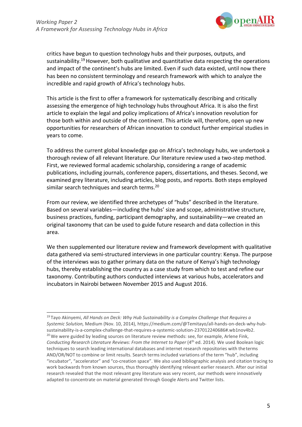

critics have begun to question technology hubs and their purposes, outputs, and sustainability.<sup>19</sup> However, both qualitative and quantitative data respecting the operations and impact of the continent's hubs are limited. Even if such data existed, until now there has been no consistent terminology and research framework with which to analyze the incredible and rapid growth of Africa's technology hubs.

This article is the first to offer a framework for systematically describing and critically assessing the emergence of high technology hubs throughout Africa. It is also the first article to explain the legal and policy implications of Africa's innovation revolution for those both within and outside of the continent. This article will, therefore, open up new opportunities for researchers of African innovation to conduct further empirical studies in years to come.

To address the current global knowledge gap on Africa's technology hubs, we undertook a thorough review of all relevant literature. Our literature review used a two-step method. First, we reviewed formal academic scholarship, considering a range of academic publications, including journals, conference papers, dissertations, and theses. Second, we examined grey literature, including articles, blog posts, and reports. Both steps employed similar search techniques and search terms.<sup>20</sup>

From our review, we identified three archetypes of "hubs" described in the literature. Based on several variables—including the hubs' size and scope, administrative structure, business practices, funding, participant demography, and sustainability—we created an original taxonomy that can be used to guide future research and data collection in this area.

We then supplemented our literature review and framework development with qualitative data gathered via semi-structured interviews in one particular country: Kenya. The purpose of the interviews was to gather primary data on the nature of Kenya's high technology hubs, thereby establishing the country as a case study from which to test and refine our taxonomy. Contributing authors conducted interviews at various hubs, accelerators and incubators in Nairobi between November 2015 and August 2016.

<sup>19</sup> Tayo Akinyemi, *All Hands on Deck: Why Hub Sustainability is a Complex Challenge that Requires a Systemic Solution,* Medium (Nov. 10, 2014), [https://medium.com/@Temitayo/all-hands-on-deck-why-hub](https://medium.com/%40Temitayo/all-hands-on-deck-why-hub-)sustainability-is-a-complex-challenge-that-requires-a-systemic-solution-237012240686#.wb1nov4b2. <sup>20</sup> We were guided by leading sources on literature review methods: see, for example, Arlene Fink, *Conducting Research Literature Reviews: From the Internet to Paper (4<sup>th</sup> ed. 2014). We used Boolean logic* techniques to search leading international databases and internet research repositories with theterms AND/OR/NOT to combine or limit results. Search terms included variations of the term "hub", including "incubator", "accelerator" and "co-creation space". We also used bibliographic analysis and citation tracing to work backwards from known sources, thus thoroughly identifying relevant earlier research. After our initial research revealed that the most relevant grey literature was very recent, our methods were innovatively adapted to concentrate on material generated through Google Alerts and Twitter lists.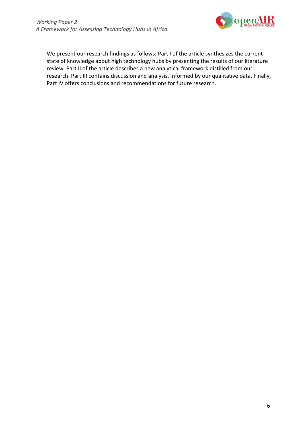

We present our research findings as follows: Part I of the article synthesizes the current state of knowledge about high technology hubs by presenting the results of our literature review. Part II of the article describes a new analytical framework distilled from our research. Part III contains discussion and analysis, informed by our qualitative data. Finally, Part IV offers conclusions and recommendations for future research.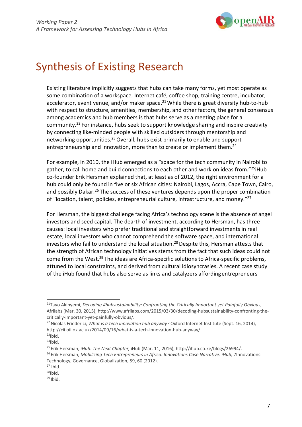

## Synthesis of Existing Research

Existing literature implicitly suggests that hubs can take many forms, yet most operate as some combination of a workspace, Internet café, coffee shop, training centre, incubator, accelerator, event venue, and/or maker space. $21$  While there is great diversity hub-to-hub with respect to structure, amenities, membership, and other factors, the general consensus among academics and hub members is that hubs serve as a meeting place for a community.22 For instance, hubs seek to support knowledge sharing and inspire creativity by connecting like-minded people with skilled outsiders through mentorship and networking opportunities.23 Overall, hubs exist primarily to enable and support entrepreneurship and innovation, more than to create or implement them.<sup>24</sup>

For example, in 2010, the iHub emerged as a "space for the tech community in Nairobi to gather, to call home and build connections to each other and work on ideas from."<sup>25</sup>iHub co-founder Erik Hersman explained that, at least as of 2012, the right environment for a hub could only be found in five or six African cities: Nairobi, Lagos, Accra, Cape Town, Cairo, and possibly Dakar.<sup>26</sup> The success of these ventures depends upon the proper combination of "location, talent, policies, entrepreneurial culture, infrastructure, and money."27

For Hersman, the biggest challenge facing Africa's technology scene is the absence of angel investors and seed capital. The dearth of investment, according to Hersman, has three causes: local investors who prefer traditional and straightforward investments in real estate, local investors who cannot comprehend the software space, and international investors who fail to understand the local situation.28 Despite this, Hersman attests that the strength of African technology initiatives stems from the fact that such ideas could not come from the West.29 The ideas are Africa-specific solutions to Africa-specific problems, attuned to local constraints, and derived from cultural idiosyncrasies. A recent case study of the iHub found that hubs also serve as links and catalyzers affordingentrepreneurs

<sup>26</sup> Erik Hersman, *Mobilizing Tech Entrepreneurs in Africa: Innovations Case Narrative: iHub, 7Innovations:* Technology, Governance, Globalization, 59, 60 (2012).

<sup>21</sup>Tayo Akinyemi, *Decoding #hubsustainability: Confronting the Critically Important yet Painfully Obvious*, Afrilabs (Mar. 30, 2015), [http://www.afrilabs.com/2015/03/30/decoding-hubsustainability-confronting-the](http://www.afrilabs.com/2015/03/30/decoding-hubsustainability-confronting-the-)critically-important-yet-painfully-obvious/.

<sup>22</sup> Nicolas Friederici, *What is a tech innovation hub anyway?* Oxford Internet Institute (Sept. 16, 2014)[,](http://cii.oii.ox.ac.uk/2014/09/16/what-is-a-tech-innovation-hub-anyway/) [http://cii.oii.ox.ac.uk/2014/09/16/what-is-a-tech-innovation-hub-anyway/.](http://cii.oii.ox.ac.uk/2014/09/16/what-is-a-tech-innovation-hub-anyway/)

 $23$ Ibid.  $24$ Ibid.

<sup>25</sup> Erik Hersman, *iHub: The Next Chapter,* iHub (Mar. 11, 2016), [http://ihub.co.ke/blogs/26994/.](http://ihub.co.ke/blogs/26994/)

 $^{27}$  Ibid.<br> $^{28}$ Ibid.

 $29$  Ibid.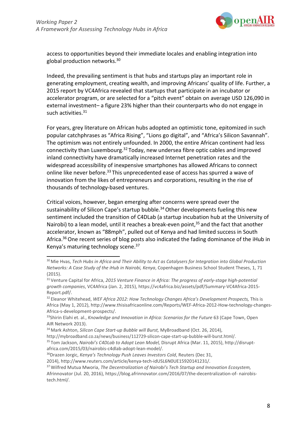

access to opportunities beyond their immediate locales and enabling integration into global production networks.30

Indeed, the prevailing sentiment is that hubs and startups play an important role in generating employment, creating wealth, and improving Africans' quality of life. Further, a 2015 report by VC4Africa revealed that startups that participate in an incubator or accelerator program, or are selected for a "pitch event" obtain on average USD 126,090 in external investment– a figure 23% higher than their counterparts who do not engage in such activities.<sup>31</sup>

For years, grey literature on African hubs adopted an optimistic tone, epitomized in such popular catchphrases as "Africa Rising", "Lions go digital", and "Africa's Silicon Savannah". The optimism was not entirely unfounded. In 2000, the entire African continent had less connectivity than Luxembourg.32 Today, new undersea fibre optic cables and improved inland connectivity have dramatically increased Internet penetration rates and the widespread accessibility of inexpensive smartphones has allowed Africans to connect online like never before.33 This unprecedented ease of access has spurred a wave of innovation from the likes of entrepreneurs and corporations, resulting in the rise of thousands of technology-based ventures.

Critical voices, however, began emerging after concerns were spread over the sustainability of Silicon Cape's startup bubble.<sup>34</sup> Other developments fueling this new sentiment included the transition of C4DLab (a startup incubation hub at the University of Nairobi) to a lean model, until it reaches a break-even point,<sup>35</sup> and the fact that another accelerator, known as "88mph", pulled out of Kenya and had limited success in South Africa.<sup>36</sup> One recent series of blog posts also indicated the fading dominance of the iHub in Kenya's maturing technology scene.37

[http://mybroadband.co.za/news/business/112729-silicon-cape-start-up-bubble-will-burst.html/.](http://mybroadband.co.za/news/business/112729-silicon-cape-start-up-bubble-will-burst.html/)

35 Tom Jackson, *Nairobi's C4DLab to Adopt Lean Model,* Disrupt Africa (Mar. 11, 2015)[, http://disrupt](http://disrupt-/)africa.com/2015/03/nairobis-c4dlab-adopt-lean-model/.

<sup>30</sup> Mie Hvas, *Tech Hubs in Africa and Their Ability to Act as Catalysers for Integration into Global Production Networks: A Case Study of the iHub in Nairobi, Kenya*, Copenhagen Business School Student Theses, 1, 71 (2015).

<sup>31</sup> Venture Capital for Africa, *2015 Venture Finance in Africa: The progress of early-stage high-potential growth companies*, VC4Africa (Jan. 2, 2015), https://vc4africa.biz/assets/pdf/Summary-VC4Africa-2015- Report.pdf/.

<sup>32</sup> Eleanor Whitehead, *WEF Africa 2012: How Technology Changes Africa's Development Prospects,* This is Africa (May 1, 2012),<http://www.thisisafricaonline.com/Reports/WEF-Africa-2012-How-technology-changes->Africa-s-development-prospects/.

<sup>&</sup>lt;sup>33</sup>Shirin Elahi et. al., *Knowledge and Innovation in Africa: Scenarios for the Future* 63 (Cape Town, Open AIR Network 2013).

<sup>34</sup> Mark Ashton, *Silicon Cape Start-up Bubble will Burst,* MyBroadband (Oct. 26, 2014)[,](http://mybroadband.co.za/news/business/112729-silicon-cape-start-up-bubble-will-burst.html/)

<sup>36</sup>Drazen Jorgic, *Kenya's Technology Push Leaves Investors Cold*, Reuters (Dec 31,

<sup>2014),</sup> [http://www.reuters.com/article/kenya-tech-idUSL6N0UE15920141231/.](http://www.reuters.com/article/kenya-tech-idUSL6N0UE15920141231/)

<sup>37</sup> Wilfred Mutua Mworia, *The Decentralization of Nairobi's Tech Startup and Innovation Ecosystem,* Afrinnovator (Jul. 20, 2016), https://blog.afrinnovator.com/2016/07/the-decentralization-of- nairobistech.html/.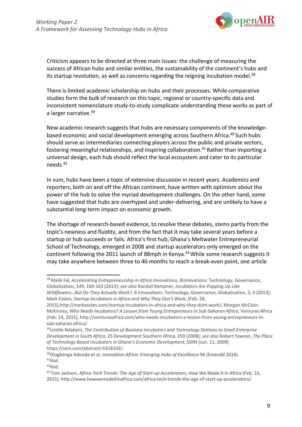

Criticism appears to be directed at three main issues: the challenge of measuring the success of African hubs and similar entities, the sustainability of the continent's hubs and its startup revolution, as well as concerns regarding the reigning incubation model. $38$ 

There is limited academic scholarship on hubs and their processes. While comparative studies form the bulk of research on this topic, regional or country-specific data and inconsistent nomenclature study-to-study complicate understanding these works as part of a larger narrative.39

New academic research suggests that hubs are necessary components of the knowledgebased economic and social development emerging across Southern Africa.40 Such hubs should serve as intermediaries connecting players across the public and private sectors, fostering meaningful relationships, and inspiring collaboration.<sup>41</sup> Rather than importing a universal design, each hub should reflect the local ecosystem and cater to its particular needs.42

In sum, hubs have been a topic of extensive discussion in recent years. Academics and reporters, both on and off the African continent, have written with optimism about the power of the hub to solve the myriad development challenges. On the other hand, some have suggested that hubs are overhyped and under-delivering, and are unlikely to have a substantial long-term impact on economic growth.

The shortage of research-based evidence, to resolve these debates, stems partly from the topic's newness and fluidity, and from the fact that it may take several years before a startup or hub succeeds or fails. Africa's first hub, Ghana's Meltwater Entrepreneurial School of Technology, emerged in 2008 and startup accelerators only emerged on the continent following the 2011 launch of 88mph in Kenya.<sup>43</sup> While some research suggests it may take anywhere between three to 40 months to reach a break-even point, one article

<sup>38</sup> Malik Fal, *Accelerating Entrepreneurship in Africa Innovations*, 8Innovations: Technology, Governance, Globalization, 149, 160-163 (2013); *see also* Randall Kempner, *Incubators Are Popping Up Like Wildflowers…But Do They Actually Work?,* 8 Innovations: Technology, Governance, Globalization, 3, 4 (2013);

Mark Essien, *Startup Incubators in Africa and Why They Don't Work,* (Feb. 28, 20[15\),http://markessien.com/startup-incubators-in-africa-and-why-they-dont-work/; M](http://markessien.com/startup-incubators-in-africa-and-why-they-dont-work/%3B)organ McClain-McKinney, *Who Needs Incubators? A Lesson from Young Entrepreneurs in Sub-Saharan Africa*, Ventures Africa (Feb. 14, 2015)[, http://venturesafrica.com/who-needs-incubators-a-lesson-from-young-entrepreneurs-in](http://venturesafrica.com/who-needs-incubators-a-lesson-from-young-entrepreneurs-in-)sub-saharan-africa/.

<sup>39</sup>Lindile Ndabeni, *The Contribution of Business Incubators and Technology Stations to Small Enterprise Development in South Africa*, 25 Development Southern Africa, 259 (2008); *see also* Robert Yawson, *The Place of Technology Based Incubators in Ghana's Economic Development,* SSRN (Jun. 11, 2009) https://ssrn.com/abstract=1418103/.

<sup>40</sup>Olugbenga Adesida et al, *Innovation Africa: Emerging Hubs of Excellence* 96 (Emerald 2016).  $41$ Ibid.

<sup>42</sup>Ibid.

<sup>43</sup> Tom Jackson, *Africa Tech Trends: The Age of Start-up Accelerators*, How We Made It in Africa (Feb. 16, 2015), [http://www.howwemadeitinafrica.com/africa-tech-trends-the-age-of-start-up-accelerators/.](http://www.howwemadeitinafrica.com/africa-tech-trends-the-age-of-start-up-accelerators/)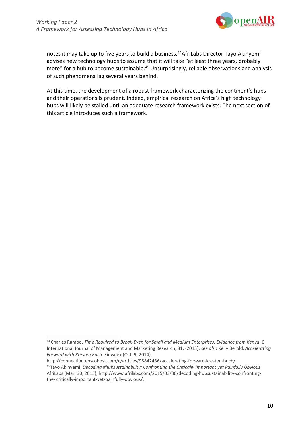

notes it may take up to five years to build a business.<sup>44</sup>AfriLabs Director Tayo Akinyemi advises new technology hubs to assume that it will take "at least three years, probably more" for a hub to become sustainable.<sup>45</sup> Unsurprisingly, reliable observations and analysis of such phenomena lag several years behind.

At this time, the development of a robust framework characterizing the continent's hubs and their operations is prudent. Indeed, empirical research on Africa's high technology hubs will likely be stalled until an adequate research framework exists. The next section of this article introduces such a framework.

[http://connection.ebscohost.com/c/articles/95842436/accelerating-forward-kresten-buch/.](http://connection.ebscohost.com/c/articles/95842436/accelerating-forward-kresten-buch/)

<sup>44</sup> Charles Rambo, *Time Required to Break-Even for Small and Medium Enterprises: Evidence from Kenya,* 6 International Journal of Management and Marketing Research, 81, (2013); *see also* Kelly Berold, *Accelerating Forward with Kresten Buch,* Finweek (Oct. 9, 2014),

<sup>45</sup>Tayo Akinyemi, *Decoding #hubsustainability: Confronting the Critically Important yet Painfully Obvious*, AfriLabs (Mar. 30, 20[15\),](http://www.afrilabs.com/2015/03/30/decoding-hubsustainability-confronting-the-) htt[p://www.afrilabs.com/2015/03/30/decoding-hubsustainability-confronting](http://www.afrilabs.com/2015/03/30/decoding-hubsustainability-confronting-the-)[the-](http://www.afrilabs.com/2015/03/30/decoding-hubsustainability-confronting-the-) critically-important-yet-painfully-obvious/.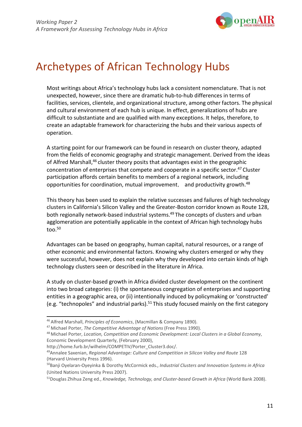

## Archetypes of African Technology Hubs

Most writings about Africa's technology hubs lack a consistent nomenclature. That is not unexpected, however, since there are dramatic hub-to-hub differences in terms of facilities, services, clientele, and organizational structure, among other factors. The physical and cultural environment of each hub is unique. In effect, generalizations of hubs are difficult to substantiate and are qualified with many exceptions. It helps, therefore, to create an adaptable framework for characterizing the hubs and their various aspects of operation.

A starting point for our framework can be found in research on cluster theory, adapted from the fields of economic geography and strategic management. Derived from the ideas of Alfred Marshall,46 cluster theory posits that advantages exist in the geographic concentration of enterprises that compete and cooperate in a specific sector.47 Cluster participation affords certain benefits to members of a regional network, including opportunities for coordination, mutual improvement, and productivity growth.<sup>48</sup>

This theory has been used to explain the relative successes and failures of high technology clusters in California's Silicon Valley and the Greater-Boston corridor known as Route 128, both regionally network-based industrial systems.49 The concepts of clusters and urban agglomeration are potentially applicable in the context of African high technology hubs too. $50$ 

Advantages can be based on geography, human capital, natural resources, or a range of other economic and environmental factors. Knowing why clusters emerged or why they were successful, however, does not explain why they developed into certain kinds of high technology clusters seen or described in the literature in Africa.

A study on cluster-based growth in Africa divided cluster development on the continent into two broad categories: (i) the spontaneous congregation of enterprises and supporting entities in a geographic area, or (ii) intentionally induced by policymaking or 'constructed' (e.g. "technopoles" and industrial parks).<sup>51</sup> This study focused mainly on the first category

48 Michael Porter, *Location, Competition and Economic Development: Local Clusters in a Global Economy*, Economic Development Quarterly, (February 2000)[,](http://home.furb.br/wilhelm/COMPETIV/Porter_Cluster3.doc/)

[http://home.furb.br/wilhelm/COMPETIV/Porter\\_Cluster3.doc/.](http://home.furb.br/wilhelm/COMPETIV/Porter_Cluster3.doc/)

<sup>46</sup> Alfred Marshall, *Principles of Economics*, (Macmillan & Company 1890).

<sup>47</sup> Michael Porter, *The Competitive Advantage of Nations* (Free Press 1990).

<sup>49</sup>Annalee Saxenian, *Regional Advantage: Culture and Competition in Silicon Valley and Route* 128 (Harvard University Press 1996).

<sup>50</sup>Banji Oyelaran-Oyeyinka & Dorothy McCormick eds., *Industrial Clusters and Innovation Systems in Africa* (United Nations University Press 2007).

<sup>&</sup>lt;sup>51</sup>Douglas Zhihua Zeng ed., *Knowledge, Technology, and Cluster-based Growth in Africa* (World Bank 2008).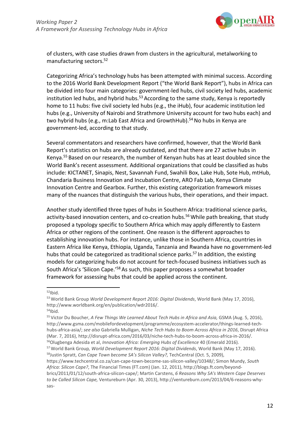

of clusters, with case studies drawn from clusters in the agricultural, metalworking to manufacturing sectors.52

Categorizing Africa's technology hubs has been attempted with minimal success. According to the 2016 World Bank Development Report ("the World Bank Report"), hubs in Africa can be divided into four main categories: government-led hubs, civil society led hubs, academic institution led hubs, and hybrid hubs.<sup>53</sup> According to the same study, Kenya is reportedly home to 11 hubs: five civil society led hubs (e.g., the iHub), four academic institution led hubs (e.g., University of Nairobi and Strathmore University account for two hubs each) and two hybrid hubs (e.g., m:Lab East Africa and GrowthHub).<sup>54</sup> No hubs in Kenya are government-led, according to that study.

Several commentators and researchers have confirmed, however, that the World Bank Report's statistics on hubs are already outdated, and that there are 27 active hubs in Kenya.55 Based on our research, the number of Kenyan hubs has at least doubled since the World Bank's recent assessment. Additional organizations that could be classified as hubs include: KICTANET, Sinapis, Nest, Savannah Fund, Swahili Box, Lake Hub, Sote Hub, mtHub, Chandaria Business Innovation and Incubation Centre, ARO Fab Lab, Kenya Climate Innovation Centre and Gearbox. Further, this existing categorization framework misses many of the nuances that distinguish the various hubs, their operations, and their impact.

Another study identified three types of hubs in Southern Africa: traditional science parks, activity-based innovation centers, and co-creation hubs.<sup>56</sup> While path breaking, that study proposed a typology specific to Southern Africa which may apply differently to Eastern Africa or other regions of the continent. One reason is the different approaches to establishing innovation hubs. For instance, unlike those in Southern Africa, countries in Eastern Africa like Kenya, Ethiopia, Uganda, Tanzania and Rwanda have no government-led hubs that could be categorized as traditional science parks.<sup>57</sup> In addition, the existing models for categorizing hubs do not account for tech-focused business initiatives such as South Africa's 'Silicon Cape.'58 As such, this paper proposes a somewhat broader framework for assessing hubs that could be applied across the continent.

 $54$ Ibid.

 $52$ Ibid.

<sup>53</sup> World Bank Group *World Development Report 2016: Digital Dividends*, World Bank (May 17, 2016)[,](http://www.worldbank.org/en/publication/wdr2016/) [http://www.worldbank.org/en/publication/wdr2016/.](http://www.worldbank.org/en/publication/wdr2016/)

<sup>&</sup>lt;sup>55</sup> Victor Du Boucher[,](http://www.gsma.com/mobilefordevelopment/programme/ecosystem-accelerator/things-learned-tech-) *A Few Things We Learned About Tech Hubs in Africa and Asia, GSMA (Aug. 5, 2016)*, [http://www.gsma.com/mobilefordevelopment/programme/ecosystem-accelerator/things-learned-tech](http://www.gsma.com/mobilefordevelopment/programme/ecosystem-accelerator/things-learned-tech-)hubs-africa-asia/; *see also* Gabriella Mulligan, *Niche Tech Hubs to Boom Across Africa in 2016*, Disrupt Africa (Mar. 7, 2016)[, http://disrupt-africa.com/2016/03/niche-tech-hubs-to-boom-across-africa-in-2016/.](http://disrupt-africa.com/2016/03/niche-tech-hubs-to-boom-across-africa-in-2016/) 56Olugbenga Adesida et al, *Innovation Africa: Emerging Hubs of Excellence* 40 (Emerald 2016).

<sup>&</sup>lt;sup>57</sup> World Bank Group, *World Development Report 2016: Digital Dividends*, World Bank (May 17, 2016).<br><sup>58</sup>Justin Spratt, *Can Cape Town become SA's Silicon Valley?,* TechCentral (Oct. 5, 2009),

https[://www.techcentral.co.za/can-cape-town-become-sas-silicon-valley/10348/; S](http://www.techcentral.co.za/can-cape-town-become-sas-silicon-valley/10348/%3B)imon Mundy, *South Africa: Silicon Cape?*, The Financial Times (FT.com) (Jan. 12, 2011), [http://blogs.ft.com/beyond](http://blogs.ft.com/beyond-)brics/2011/01/12/south-africa-silicon-cape/; Martin Carstens, *6 Reasons Why SA's Western Cape Deserves to be Called Silicon Cape,* Ventureburn (Apr. 30, 2013), [http://ventureburn.com/2013/04/6-reasons-why](http://ventureburn.com/2013/04/6-reasons-why-sas-)[sas-](http://ventureburn.com/2013/04/6-reasons-why-sas-)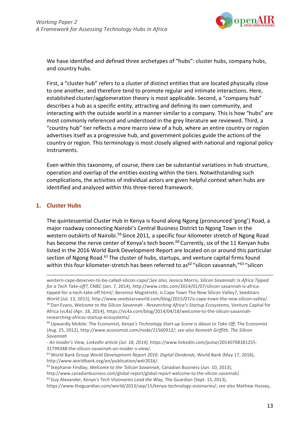

We have identified and defined three archetypes of "hubs": cluster hubs, company hubs, and country hubs.

First, a "cluster hub" refers to a cluster of distinct entities that are located physically close to one another, and therefore tend to promote regular and intimate interactions. Here, established cluster/agglomeration theory is most applicable. Second, a "company hub" describes a hub as a specific entity, attracting and defining its own community, and interacting with the outside world in a manner similar to a company. This is how "hubs" are most commonly referenced and understood in the grey literature we reviewed. Third, a "country hub" tier reflects a more macro view of a hub, where an entire country or region advertises itself as a progressive hub, and government policies guide the actions of the country or region. This terminology is most closely aligned with national and regional policy instruments.

Even within this taxonomy, of course, there can be substantial variations in hub structure, operation and overlap of the entities existing within the tiers. Notwithstanding such complications, the activities of individual actors are given helpful context when hubs are identified and analyzed within this three-tiered framework.

### **1. Cluster Hubs**

The quintessential Cluster Hub in Kenya is found along Ngong (pronounced 'gong') Road, a major roadway connecting Nairobi's Central Business District to Ngong Town in the western outskirts of Nairobi.<sup>59</sup> Since 2011, a specific four-kilometer stretch of Ngong Road has become the nerve center of Kenya's tech boom.<sup>60</sup> Currently, six of the 11 Kenyan hubs listed in the 2016 World Bank Development Report are located on or around this particular section of Ngong Road.<sup>61</sup> The cluster of hubs, startups, and venture capital firms found within this four kilometer-stretch has been referred to as<sup>62</sup> "silicon savannah,"<sup>63</sup> "silicon

western-cape-deserves-to-be-called-silicon-cape/;*See also,* Jessica Morris, *Silicon Savannah: Is Africa Tipped for a Tech Take-off?,* CNBC (Jan. 7, 2014)[, http://www.cnbc.com/2014/01/07/silicon-savannah-is-africa](http://www.cnbc.com/2014/01/07/silicon-savannah-is-africa-)tipped-for-a-tech-take-off.html/; Berenice Magistretti, Is Cape Town The New Silicon Valley?, Seedstars World (Jul. 13, 2015), [http://www.seedstarsworld.com/blog/2015/07/is-cape-town-the-new-silicon-valley/.](http://www.seedstarsworld.com/blog/2015/07/is-cape-town-the-new-silicon-valley/) 59 Dan Evans, *Welcome to the Silicon Savannah - Researching Africa's Startup Ecosystems,* Venture Capital for Africa (vc4a) (Apr. 18, 2014), https://vc4a.com/blog/2014/04/18/welcome-to-the-silicon-savannahresearching-africas-startup-ecosystems/.

<sup>60</sup> Upwardly Mobile: The Economist*, Kenya's Technology Start-up Scene is About to Take Off*, The Economist (Aug. 25, 2012)[, http://www.economist.com/node/21560912/;](http://www.economist.com/node/21560912/%3B) *see also Kenneth Griffith, The Silicon Savannah*

*<sup>-</sup> An Insider's View, LinkedIn article (Jul. 18, 2014),* https:/[/www.linkedin.com/pulse/20140708181255-](http://www.linkedin.com/pulse/20140708181255-) 31799348-the-silicon-savannah-an-insider-s-view/.

<sup>61</sup> World Bank Group *World Development Report 2016: Digital Dividends*, World Bank (May 17, 2016)[,](http://www.worldbank.org/en/publication/wdr2016/) [http://www.worldbank.org/en/publication/wdr2016/.](http://www.worldbank.org/en/publication/wdr2016/)

<sup>62</sup> Stephanie Findlay, *Welcome to the 'Silicon Savannah*, Canadian Business (Jun. 10, 2013)[,](http://www.canadianbusiness.com/global-report/global-report-welcome-to-the-silicon-savannah/)

[http://www.canadianbusiness.com/global-report/global-report-welcome-to-the-silicon-savannah/.](http://www.canadianbusiness.com/global-report/global-report-welcome-to-the-silicon-savannah/) 63 Guy Alexander, *Kenya's Tech Visionaries Lead the Way*, The Guardian (Sept. 15,2013),

https[://www.theguardian.com/world/2013/sep/15/kenya-technology-visionaries/;](http://www.theguardian.com/world/2013/sep/15/kenya-technology-visionaries/%3B) *see also* Mathew Hussey,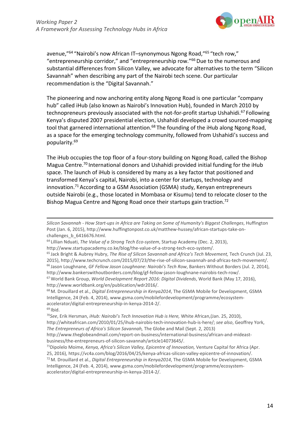

avenue,"64 "Nairobi's now African IT–synonymous Ngong Road,"65 "tech row," "entrepreneurship corridor," and "entrepreneurship row."66 Due to the numerous and substantial differences from Silicon Valley, we advocate for alternatives to the term "Silicon Savannah" when describing any part of the Nairobi tech scene. Our particular recommendation is the "Digital Savannah."

The pioneering and now anchoring entity along Ngong Road is one particular "company hub" called iHub (also known as Nairobi's Innovation Hub), founded in March 2010 by technopreneurs previously associated with the not-for-profit startup Ushahidi.<sup>67</sup> Following Kenya's disputed 2007 presidential election, Ushahidi developed a crowd sourced-mapping tool that garnered international attention.<sup>68</sup> The founding of the iHub along Ngong Road, as a space for the emerging technology community, followed from Ushahidi's success and popularity.69

The iHub occupies the top floor of a four-story building on Ngong Road, called the Bishop Magua Centre.70 International donors and Ushahidi provided initial funding for the iHub space. The launch of iHub is considered by many as a key factor that positioned and transformed Kenya's capital, Nairobi, into a center for startups, technology and innovation.<sup>71</sup> According to a GSM Association (GSMA) study, Kenyan entrepreneurs outside Nairobi (e.g., those located in Mombasa or Kisumu) tend to relocate closer to the Bishop Magua Centre and Ngong Road once their startups gain traction.<sup>72</sup>

*Silicon Savannah - How Start-ups in Africa are Taking on Some of Humanity's Biggest Challenges*, Huffington Post (Jan. 6, 2015), [http://www.huffingtonpost.co.uk/matthew-hussey/african-startups-take-on](http://www.huffingtonpost.co.uk/matthew-hussey/african-startups-take-on-)challenges\_b\_6416676.html.

<sup>64</sup> Lillian Nduati, *The Value of a Strong Tech Eco-system*, Startup Academy (Dec. 2, 2013),

[http://www.startupacademy.co.ke/blog/the-value-of-a-strong-tech-eco-system/.](http://www.startupacademy.co.ke/blog/the-value-of-a-strong-tech-eco-system/)

<sup>65</sup> Jack Bright & Aubrey Hubry, *The Rise of Silicon Savannah and Africa's Tech Movement,* Tech Crunch (Jul. 23, 2015), [http://www.techcrunch.com/2015/07/23/the-rise-of-silicon-savannah-and-africas-tech-movement/.](http://www.techcrunch.com/2015/07/23/the-rise-of-silicon-savannah-and-africas-tech-movement/) 66 Jason Loughnane, *GF Fellow Jason Loughnane: Nairobi's Tech Row*, Bankers Without Borders (Jul. 2, 2014), [http://www.bankerswithoutborders.com/blog/gf-fellow-jason-loughnane-nairobis-tech-row/.](http://www.bankerswithoutborders.com/blog/gf-fellow-jason-loughnane-nairobis-tech-row/)

<sup>67</sup> World Bank Group, *World Development Report 2016: Digital Dividends*, World Bank (May 17, 2016)[,](http://www.worldbank.org/en/publication/wdr2016/) [http://www.worldbank.org/en/publication/wdr2016/.](http://www.worldbank.org/en/publication/wdr2016/)

<sup>68</sup> M. Drouillard et al., *Digital Entrepreneurship in Kenya2014*, The GSMA Mobile for Development, GSMA Intelligence, 24 (Feb. 4, 2014), [www.gsma.com/mobilefordevelopment/programme/ecosystem](http://www.gsma.com/mobilefordevelopment/programme/ecosystem-)accelerator/digital-entrepreneurship-in-kenya-2014-2/.

 $69$  Ibid.

<sup>70</sup>*See*, Erik Hersman, *iHub: Nairobi's Tech Innovation Hub is Here,* White African,(Jan. 25, 2010)[,](http://whiteafrican.com/2010/01/25/ihub-nairobis-tech-innovation-hub-is-here/) [http://whiteafrican.com/2010/01/25/ihub-nairobis-tech-innovation-hub-is-here/;](http://whiteafrican.com/2010/01/25/ihub-nairobis-tech-innovation-hub-is-here/) *see also*, Geoffrey York, *The Entrepreneurs of Africa's Silicon Savannah,* The Globe and Mail (Sept. 2, 2013) <http://www.theglobeandmail.com/report-on-business/international-business/african-and-mideast->

business/the-entrepreneurs-of-silicon-savannah/article14073645/.

<sup>71</sup>Dipolelo Moime, *Kenya, Africa's Silicon Valley, Epicentre of Innovation,* Venture Capital for Africa (Apr. 25, 2016), https://vc4a.com/blog/2016/04/25/kenya-africas-silicon-valley-epicentre-of-innovation/. 72 M. Drouillard et al., *Digital Entrepreneurship in Kenya2014*, The GSMA Mobile for Development, GSMA Intelligence, 24 (Feb. 4, 2014), [www.gsma.com/mobilefordevelopment/programme/ecosystem](http://www.gsma.com/mobilefordevelopment/programme/ecosystem-)accelerator/digital-entrepreneurship-in-kenya-2014-2/.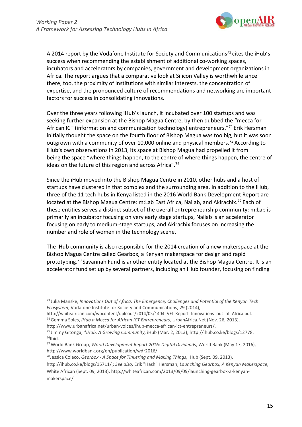

A 2014 report by the Vodafone Institute for Society and Communications<sup>73</sup> cites the iHub's success when recommending the establishment of additional co-working spaces, incubators and accelerators by companies, government and development organizations in Africa. The report argues that a comparative look at Silicon Valley is worthwhile since there, too, the proximity of institutions with similar interests, the concentration of expertise, and the pronounced culture of recommendations and networking are important factors for success in consolidating innovations.

Over the three years following iHub's launch, it incubated over 100 startups and was seeking further expansion at the Bishop Magua Centre, by then dubbed the "mecca for African ICT (information and communication technology) entrepreneurs."<sup>74</sup> Erik Hersman initially thought the space on the fourth floor of Bishop Magua was too big, but it was soon outgrown with a community of over 10,000 online and physical members.<sup>75</sup> According to iHub's own observations in 2013, its space at Bishop Magua had propelled it from being the space "where things happen, to the centre of where things happen, the centre of ideas on the future of this region and across Africa".76

Since the iHub moved into the Bishop Magua Centre in 2010, other hubs and a host of startups have clustered in that complex and the surrounding area. In addition to the iHub, three of the 11 tech hubs in Kenya listed in the 2016 World Bank Development Report are located at the Bishop Magua Centre: m:Lab East Africa, Nailab, and Akirachix.<sup>77</sup> Each of these entities serves a distinct subset of the overall entrepreneurship community: m:Lab is primarily an incubator focusing on very early stage startups, Nailab is an accelerator focusing on early to medium-stage startups, and Akirachix focuses on increasing the number and role of women in the technology scene.

The iHub community is also responsible for the 2014 creation of a new makerspace at the Bishop Magua Centre called Gearbox, a Kenyan makerspace for design and rapid prototyping.78 Savannah Fund is another entity located at the Bishop Magua Centre. It is an accelerator fund set up by several partners, including an iHub founder, focusing on finding

<http://ihub.co.ke/blogs/15711/>*; See also,* Erik "Hash" Hersman, *Launching Gearbox, A Kenyan Makerspace*, White African (Sept. 09, 2013)[, http://whiteafrican.com/2013/09/09/launching-gearbox-a-kenyan](http://whiteafrican.com/2013/09/09/launching-gearbox-a-kenyan-)makerspace/.

<sup>73</sup> Julia Manske, *Innovations Out of Africa. The Emergence, Challenges and Potential of the Kenyan Tech Ecosystem*, Vodafone Institute for Society and Communications, 29 (2014)[,](http://whiteafrican.com/wpcontent/uploads/2014/05/1404_VFI_Report_Innovations_out_of_Africa.pdf)

[http://whiteafrican.com/wpcontent/uploads/2014/05/1404\\_VFI\\_Report\\_Innovations\\_out\\_of\\_Africa.pdf.](http://whiteafrican.com/wpcontent/uploads/2014/05/1404_VFI_Report_Innovations_out_of_Africa.pdf) 74 Gemma Soles, *iHub a Mecca for African ICT Entrepreneurs,* UrbanAfrica.Net (Nov. 26, 2013),

[http://www.urbanafrica.net/urban-voices/ihub-mecca-african-ict-entrepreneurs/.](http://www.urbanafrica.net/urban-voices/ihub-mecca-african-ict-entrepreneurs/)

<sup>75</sup> Jimmy Gitonga, *\*iHub: A Growing Community,* iHub (Mar. 2, 2013), [http://ihub.co.ke/blogs/12778.](http://ihub.co.ke/blogs/12778)  $76$ Ibid.

<sup>77</sup> World Bank Group, *World Development Report 2016: Digital Dividends*, World Bank (May 17, 2016)[,](http://www.worldbank.org/en/publication/wdr2016/) [http://www.worldbank.org/en/publication/wdr2016/.](http://www.worldbank.org/en/publication/wdr2016/)

<sup>78</sup>Jessica Colaco, *Gearbox - A Space for Tinkering and Making Things*, iHub (Sept. 09, 2013)[,](http://ihub.co.ke/blogs/15711/)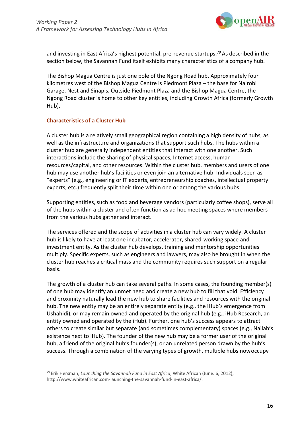

and investing in East Africa's highest potential, pre-revenue startups.<sup>79</sup> As described in the section below, the Savannah Fund itself exhibits many characteristics of a company hub.

The Bishop Magua Centre is just one pole of the Ngong Road hub. Approximately four kilometres west of the Bishop Magua Centre is Piedmont Plaza – the base for Nairobi Garage, Nest and Sinapis. Outside Piedmont Plaza and the Bishop Magua Centre, the Ngong Road cluster is home to other key entities, including Growth Africa (formerly Growth Hub).

#### **Characteristics of a Cluster Hub**

A cluster hub is a relatively small geographical region containing a high density of hubs, as well as the infrastructure and organizations that support such hubs. The hubs within a cluster hub are generally independent entities that interact with one another. Such interactions include the sharing of physical spaces, Internet access, human resources/capital, and other resources. Within the cluster hub, members and users of one hub may use another hub's facilities or even join an alternative hub. Individuals seen as "experts" (e.g., engineering or IT experts, entrepreneurship coaches, intellectual property experts, etc.) frequently split their time within one or among the various hubs.

Supporting entities, such as food and beverage vendors (particularly coffee shops), serve all of the hubs within a cluster and often function as ad hoc meeting spaces where members from the various hubs gather and interact.

The services offered and the scope of activities in a cluster hub can vary widely. A cluster hub is likely to have at least one incubator, accelerator, shared-working space and investment entity. As the cluster hub develops, training and mentorship opportunities multiply. Specific experts, such as engineers and lawyers, may also be brought in when the cluster hub reaches a critical mass and the community requires such support on a regular basis.

The growth of a cluster hub can take several paths. In some cases, the founding member(s) of one hub may identify an unmet need and create a new hub to fill that void. Efficiency and proximity naturally lead the new hub to share facilities and resources with the original hub. The new entity may be an entirely separate entity (e.g., the iHub's emergence from Ushahidi), or may remain owned and operated by the original hub (e.g., iHub Research, an entity owned and operated by the iHub). Further, one hub's success appears to attract others to create similar but separate (and sometimes complementary) spaces (e.g., Nailab's existence next to iHub). The founder of the new hub may be a former user of the original hub, a friend of the original hub's founder(s), or an unrelated person drawn by the hub's success. Through a combination of the varying types of growth, multiple hubs nowoccupy

<sup>79</sup> Erik Hersman, *Launching the Savannah Fund in East Africa*, White African (June. 6, 2012),

[http://www.whiteafrican.com-launching-the-savannah-fund-in-east-africa/.](http://www.whiteafrican.com-launching-the-savannah-fund-in-east-africa/)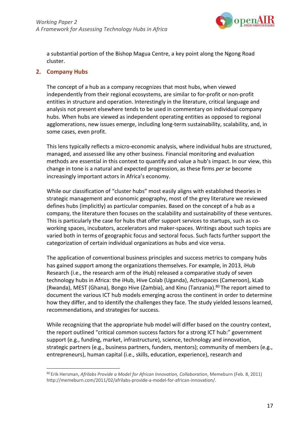

a substantial portion of the Bishop Magua Centre, a key point along the Ngong Road cluster.

#### **2. Company Hubs**

The concept of a hub as a company recognizes that most hubs, when viewed independently from their regional ecosystems, are similar to for-profit or non-profit entities in structure and operation. Interestingly in the literature, critical language and analysis not present elsewhere tends to be used in commentary on individual company hubs. When hubs are viewed as independent operating entities as opposed to regional agglomerations, new issues emerge, including long-term sustainability, scalability, and, in some cases, even profit.

This lens typically reflects a micro-economic analysis, where individual hubs are structured, managed, and assessed like any other business. Financial monitoring and evaluation methods are essential in this context to quantify and value a hub's impact. In our view, this change in tone is a natural and expected progression, as these firms *per se* become increasingly important actors in Africa's economy.

While our classification of "cluster hubs" most easily aligns with established theories in strategic management and economic geography, most of the grey literature we reviewed defines hubs (implicitly) as particular companies. Based on the concept of a hub as a company, the literature then focuses on the scalability and sustainability of these ventures. This is particularly the case for hubs that offer support services to startups, such as coworking spaces, incubators, accelerators and maker-spaces. Writings about such topics are varied both in terms of geographic focus and sectoral focus. Such facts further support the categorization of certain individual organizations as hubs and vice versa.

The application of conventional business principles and success metrics to company hubs has gained support among the organizations themselves. For example, in 2013, iHub Research (i.e., the research arm of the iHub) released a comparative study of seven technology hubs in Africa: the iHub, Hive Colab (Uganda), Activspaces (Cameroon), kLab (Rwanda), MEST (Ghana), Bongo Hive (Zambia), and Kinu (Tanzania).<sup>80</sup> The report aimed to document the various ICT hub models emerging across the continent in order to determine how they differ, and to identify the challenges they face. The study yielded lessons learned, recommendations, and strategies for success.

While recognizing that the appropriate hub model will differ based on the country context, the report outlined "critical common success factors for a strong ICT hub:" government support (e.g., funding, market, infrastructure), science, technology and innovation, strategic partners (e.g., business partners, funders, mentors); community of members (e.g., entrepreneurs), human capital (i.e., skills, education, experience), research and

<sup>80</sup> Erik Hersman, *Afrilabs Provide a Model for African Innovation, Collaboration*, Memeburn (Feb. 8, 2011[\)](http://memeburn.com/2011/02/afrilabs-provide-a-model-for-african-innovation/) [http://memeburn.com/2011/02/afrilabs-provide-a-model-for-african-innovation/.](http://memeburn.com/2011/02/afrilabs-provide-a-model-for-african-innovation/)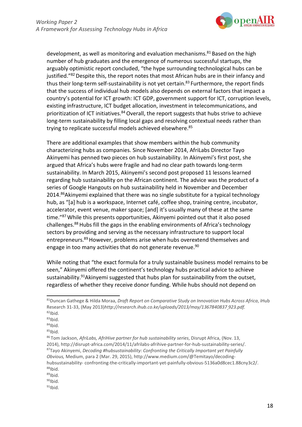

development, as well as monitoring and evaluation mechanisms.81 Based on the high number of hub graduates and the emergence of numerous successful startups, the arguably optimistic report concluded, "the hype surrounding technological hubs can be justified."<sup>82</sup> Despite this, the report notes that most African hubs are in their infancy and thus their long-term self-sustainability is not yet certain.<sup>83</sup> Furthermore, the report finds that the success of individual hub models also depends on external factors that impact a country's potential for ICT growth: ICT GDP, government support for ICT, corruption levels, existing infrastructure, ICT budget allocation, investment in telecommunications, and prioritization of ICT initiatives.<sup>84</sup> Overall, the report suggests that hubs strive to achieve long-term sustainability by filling local gaps and resolving contextual needs rather than trying to replicate successful models achieved elsewhere.<sup>85</sup>

There are additional examples that show members within the hub community characterizing hubs as companies. Since November 2014, AfriLabs Director Tayo Akinyemi has penned two pieces on hub sustainability. In Akinyemi's first post, she argued that Africa's hubs were fragile and had no clear path towards long-term sustainability. In March 2015, Akinyemi's second post proposed 11 lessons learned regarding hub sustainability on the African continent. The advice was the product of a series of Google Hangouts on hub sustainability held in November and December 2014.<sup>86</sup>Akinyemi explained that there was no single substitute for a typical technology hub, as "[a] hub is a workspace, Internet café, coffee shop, training centre, incubator, accelerator, event venue, maker space; [and] it's usually many of these at the same time."87 While this presents opportunities, Akinyemi pointed out that it also posed challenges.88 Hubs fill the gaps in the enabling environments of Africa's technology sectors by providing and serving as the necessary infrastructure to support local entrepreneurs.89 However, problems arise when hubs overextend themselves and engage in too many activities that do not generate revenue.<sup>90</sup>

While noting that "the exact formula for a truly sustainable business model remains to be seen," Akinyemi offered the continent's technology hubs practical advice to achieve sustainability.<sup>91</sup>Akinyemi suggested that hubs plan for sustainability from the outset, regardless of whether they receive donor funding. While hubs should not depend on

 $83$ Ibid.

 $85$ Ibid.

 $90$ Ibid.

 $91$ Ibid.

<sup>81</sup>Duncan Gathege & Hilda Moraa, *Draft Report on Comparative Study on Innovation Hubs Across Africa*, iHub Research 31-33, (May 2013)*<http://research.ihub.co.ke/uploads/2013/may/1367840837> 923.pdf.*  $82$ Ibid.

 $84$ Ibid.

<sup>86</sup> Tom Jackson, *AfriLabs, AfriHive partner for hub sustainability series*, Disrupt Africa, (Nov. 13, 2014), [http://disrupt-africa.com/2014/11/afrilabs-afrihive-partner-for-hub-sustainability-series/.](http://disrupt-africa.com/2014/11/afrilabs-afrihive-partner-for-hub-sustainability-series/) 87Tayo Akinyemi, *Decoding #hubsustainability: Confronting the Critically Important yet Painfully Obvious,* Medium, para 2 (Mar. 29, 2015), [http://www.medium.com/@Temitayo/decoding](http://www.medium.com/%40Temitayo/decoding-hubsustainability-)[hubsustainability-](http://www.medium.com/%40Temitayo/decoding-hubsustainability-) confronting-the-critically-important-yet-painfully-obvious-5136a0d8cec1.88cny3c2/.  $88$ Ibid.

 $89$ Ibid.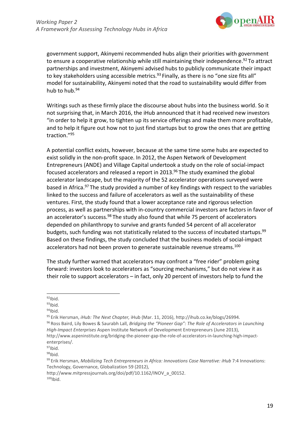

government support, Akinyemi recommended hubs align their priorities with government to ensure a cooperative relationship while still maintaining their independence.<sup>92</sup> To attract partnerships and investment, Akinyemi advised hubs to publicly communicate their impact to key stakeholders using accessible metrics.<sup>93</sup> Finally, as there is no "one size fits all" model for sustainability, Akinyemi noted that the road to sustainability would differ from hub to hub.<sup>94</sup>

Writings such as these firmly place the discourse about hubs into the business world. So it not surprising that, in March 2016, the iHub announced that it had received new investors "in order to help it grow, to tighten up its service offerings and make them more profitable, and to help it figure out how not to just find startups but to grow the ones that are getting traction."95

A potential conflict exists, however, because at the same time some hubs are expected to exist solidly in the non-profit space. In 2012, the Aspen Network of Development Entrepreneurs (ANDE) and Village Capital undertook a study on the role of social-impact focused accelerators and released a report in 2013.<sup>96</sup> The study examined the global accelerator landscape, but the majority of the 52 accelerator operations surveyed were based in Africa.<sup>97</sup> The study provided a number of key findings with respect to the variables linked to the success and failure of accelerators as well as the sustainability of these ventures. First, the study found that a lower acceptance rate and rigorous selection process, as well as partnerships with in-country commercial investors are factors in favor of an accelerator's success.<sup>98</sup> The study also found that while 75 percent of accelerators depended on philanthropy to survive and grants funded 54 percent of all accelerator budgets, such funding was not statistically related to the success of incubated startups.<sup>99</sup> Based on these findings, the study concluded that the business models of social-impact accelerators had not been proven to generate sustainable revenue streams.<sup>100</sup>

The study further warned that accelerators may confront a "free rider" problem going forward: investors look to accelerators as "sourcing mechanisms," but do not view it as their role to support accelerators – in fact, only 20 percent of investors help to fund the

 $94$ Ibid.

95 Erik Hersman, *iHub: The Next Chapter,* iHub (Mar. 11, 2016), [http://ihub.co.ke/blogs/26994.](http://ihub.co.ke/blogs/26994)

96 Ross Baird, Lily Bowes & Saurabh Lall, *Bridging the "Pioneer Gap": The Role of Accelerators in Launching High-Impact Enterprises* Aspen Institute Network of Development Entrepreneurs (June 2013[\),](http://www.aspeninstitute.org/bridging-the-pioneer-gap-the-role-of-accelerators-in-launching-high-impact-) <http://www.aspeninstitute.org/bridging-the-pioneer-gap-the-role-of-accelerators-in-launching-high-impact->

 $92$ Ibid.

 $93$ Ibid.

enterprises/.

 $97$ Ibid.

 $98$ Ibid.

<sup>&</sup>lt;sup>99</sup> Erik Hersman, *Mobilizing Tech Entrepreneurs in Africa: Innovations Case Narrative: iHub 7:4 Innovations:* Technology, Governance, Globalization 59 (2012)[,](http://www.mitpressjournals.org/doi/pdf/10.1162/INOV_a_00152)

[http://www.mitpressjournals.org/doi/pdf/10.1162/INOV\\_a\\_00152.](http://www.mitpressjournals.org/doi/pdf/10.1162/INOV_a_00152)  $100$  Ibid.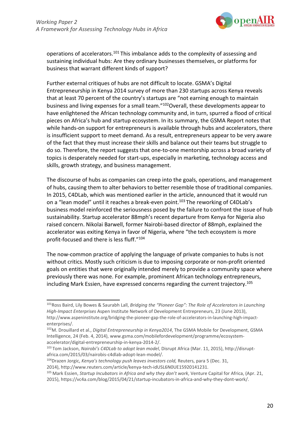

operations of accelerators.101 This imbalance adds to the complexity of assessing and sustaining individual hubs: Are they ordinary businesses themselves, or platforms for business that warrant different kinds of support?

Further external critiques of hubs are not difficult to locate. GSMA's Digital Entrepreneurship in Kenya 2014 survey of more than 230 startups across Kenya reveals that at least 70 percent of the country's startups are "not earning enough to maintain business and living expenses for a small team."102Overall, these developments appear to have enlightened the African technology community and, in turn, spurred a flood of critical pieces on Africa's hub and startup ecosystem. In its summary, the GSMA Report notes that while hands-on support for entrepreneurs is available through hubs and accelerators, there is insufficient support to meet demand. As a result, entrepreneurs appear to be very aware of the fact that they must increase their skills and balance out their teams but struggle to do so. Therefore, the report suggests that one-to-one mentorship across a broad variety of topics is desperately needed for start-ups, especially in marketing, technology access and skills, growth strategy, and business management.

The discourse of hubs as companies can creep into the goals, operations, and management of hubs, causing them to alter behaviors to better resemble those of traditional companies. In 2015, C4DLab, which was mentioned earlier in the article, announced that it would run on a "lean model" until it reaches a break-even point.<sup>103</sup> The reworking of C4DLab's business model reinforced the seriousness posed by the failure to confront the issue of hub sustainability. Startup accelerator 88mph's recent departure from Kenya for Nigeria also raised concern. Nikolai Barwell, former Nairobi-based director of 88mph, explained the accelerator was exiting Kenya in favor of Nigeria, where "the tech ecosystem is more profit-focused and there is less fluff."104

The now-common practice of applying the language of private companies to hubs is not without critics. Mostly such criticism is due to imposing corporate or non-profit oriented goals on entities that were originally intended merely to provide a community space where previously there was none. For example, prominent African technology entrepreneurs, including Mark Essien, have expressed concerns regarding the current trajectory.<sup>105</sup>

<sup>101</sup>Ross Baird, Lily Bowes & Saurabh Lall, *Bridging the "Pioneer Gap": The Role of Accelerators in Launching High-Impact Enterprises* Aspen Institute Network of Development Entrepreneurs, 23 (June 2013), [http://www.aspeninstitute.org/bridging-the-pioneer-gap-the-role-of-accelerators-in-launching-high-impact](http://www.aspeninstitute.org/bridging-the-pioneer-gap-the-role-of-accelerators-in-launching-high-impact-)enterprises/.

<sup>102</sup>M. Drouillard et al., *Digital Entrepreneurship in Kenya2014*, The GSMA Mobile for Development, GSMA Intelligence, 24 (Feb. 4, 2014), [www.gsma.com/mobilefordevelopment/programme/ecosystem](http://www.gsma.com/mobilefordevelopment/programme/ecosystem-)accelerator/digital-entrepreneurship-in-kenya-2014-2/.

<sup>103</sup> Tom Jackson, *Nairobi's C4DLab to adopt lean model*, Disrupt Africa (Mar. 11, 2015)[, http://disrupt](http://disrupt-/)africa.com/2015/03/nairobis-c4dlab-adopt-lean-model/.

<sup>104</sup>Drazen Jorgic, *Kenya's technology push leaves investors cold,* Reuters, para 5 (Dec. 31,

<sup>2014),</sup> [http://www.reuters.com/article/kenya-tech-idUSL6N0UE15920141231.](http://www.reuters.com/article/kenya-tech-idUSL6N0UE15920141231)

<sup>105</sup> Mark Essien, *Startup Incubators in Africa and why they don't work*, Venture Capital for Africa, (Apr. 21, 2015), https://vc4a.com/blog/2015/04/21/startup-incubators-in-africa-and-why-they-dont-work/.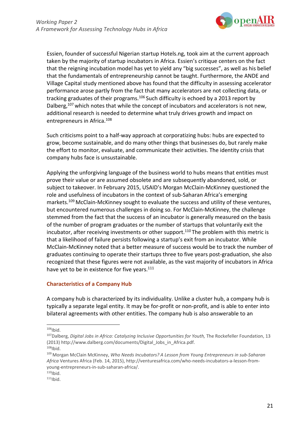

Essien, founder of successful Nigerian startup Hotels.ng, took aim at the current approach taken by the majority of startup incubators in Africa. Essien's critique centers on the fact that the reigning incubation model has yet to yield any "big successes", as well as his belief that the fundamentals of entrepreneurship cannot be taught. Furthermore, the ANDE and Village Capital study mentioned above has found that the difficulty in assessing accelerator performance arose partly from the fact that many accelerators are not collecting data, or tracking graduates of their programs.<sup>106</sup> Such difficulty is echoed by a 2013 report by Dalberg, $107$  which notes that while the concept of incubators and accelerators is not new, additional research is needed to determine what truly drives growth and impact on entrepreneurs in Africa.108

Such criticisms point to a half-way approach at corporatizing hubs: hubs are expected to grow, become sustainable, and do many other things that businesses do, but rarely make the effort to monitor, evaluate, and communicate their activities. The identity crisis that company hubs face is unsustainable.

Applying the unforgiving language of the business world to hubs means that entities must prove their value or are assumed obsolete and are subsequently abandoned, sold, or subject to takeover. In February 2015, USAID's Morgan McClain-McKinney questioned the role and usefulness of incubators in the context of sub-Saharan Africa's emerging markets.<sup>109</sup> McClain-McKinney sought to evaluate the success and utility of these ventures, but encountered numerous challenges in doing so. For McClain-McKinney, the challenge stemmed from the fact that the success of an incubator is generally measured on the basis of the number of program graduates or the number of startups that voluntarily exit the incubator, after receiving investments or other support.<sup>110</sup> The problem with this metric is that a likelihood of failure persists following a startup's exit from an incubator. While McClain-McKinney noted that a better measure of success would be to track the number of graduates continuing to operate their startups three to five years post-graduation, she also recognized that these figures were not available, as the vast majority of incubators in Africa have yet to be in existence for five years.<sup>111</sup>

#### **Characteristics of a Company Hub**

A company hub is characterized by its individuality. Unlike a cluster hub, a company hub is typically a separate legal entity. It may be for-profit or non-profit, and is able to enter into bilateral agreements with other entities. The company hub is also answerable to an

 $106$ Ibid.

<sup>&</sup>lt;sup>107</sup>Dalberg, *Digital Jobs in Africa: Catalyzing Inclusive Opportunities for Youth*, The Rockefeller Foundation, 13 (2013[\) http://www.dalberg.com/documents/Digital\\_Jobs\\_in\\_Africa.pdf.](http://www.dalberg.com/documents/Digital_Jobs_in_Africa.pdf)  $108$ Ibid.

<sup>109</sup> Morgan McClain McKinney, *Who Needs Incubators? A Lesson from Young Entrepreneurs in sub-Saharan Africa* Ventures Africa (Feb. 14, 2015), [http://venturesafrica.com/who-needs-incubators-a-lesson-from](http://venturesafrica.com/who-needs-incubators-a-lesson-from-)young-entrepreneurs-in-sub-saharan-africa/.

 $110$  | bid.<br> $111$ | bid.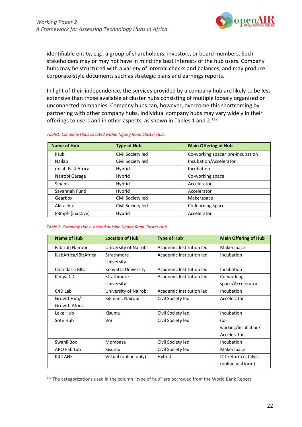

identifiable entity, e.g., a group of shareholders, investors, or board members. Such stakeholders may or may not have in mind the best interests of the hub users. Company hubs may be structured with a variety of internal checks and balances, and may produce corporate-style documents such as strategic plans and earnings reports.

In light of their independence, the services provided by a company hub are likely to be less extensive than those available at cluster hubs consisting of multiple loosely organized or unconnected companies. Company hubs can, however, overcome this shortcoming by partnering with other company hubs. Individual company hubs may vary widely in their offerings to users and in other aspects, as shown in Tables 1 and 2.<sup>112</sup>

|  |  | Table1: Company Hubs Located within Ngong Road Cluster Hub. |
|--|--|-------------------------------------------------------------|
|  |  |                                                             |

| <b>Name of Hub</b> | <b>Type of Hub</b> | <b>Main Offering of Hub</b>      |  |
|--------------------|--------------------|----------------------------------|--|
| iHub               | Civil Society led  | Co-working space/ pre-incubation |  |
| Nailab             | Civil Society led  | Incubation/Accelerator           |  |
| m:lab East Africa  | Hybrid             | Incubation                       |  |
| Nairobi Garage     | Hybrid             | Co-working space                 |  |
| <b>Sinapis</b>     | Hybrid             | Accelerator                      |  |
| Savannah Fund      | Hybrid             | Accelerator                      |  |
| Gearbox            | Civil Society led  | Makerspace                       |  |
| Akirachix          | Civil Society led  | Co-learning space                |  |
| 88mph (inactive)   | Hybrid             | Accelerator                      |  |

#### *Table 2: Company Hubs Located outside Ngong Road Cluster Hub.*

| <b>Name of Hub</b>    | <b>Location of Hub</b> | <b>Type of Hub</b>       | <b>Main Offering of Hub</b> |
|-----------------------|------------------------|--------------------------|-----------------------------|
| Fab Lab Nairobi       | University of Nairobi  | Academic Institution led | Makerspace                  |
| iLabAfrica/iBizAfrica | Strathmore             | Academic Institution led | Incubation                  |
|                       | University             |                          |                             |
| Chandaria BIIC        | Kenyatta University    | Academic Institution led | Incubation                  |
| Kenya CIC             | Strathmore             | Academic Institution led | Co-working                  |
|                       | University             |                          | space/Accelerator           |
| C <sub>4</sub> D Lab  | University of Nairobi  | Academic Institution led | Incubation                  |
| GrowthHub/            | Kilimani, Nairobi      | Civil Society led        | Accelerator                 |
| Growth Africa         |                        |                          |                             |
| Lake Hub              | Kisumu                 | Civil Society led        | Incubation                  |
| Sote Hub              | Voi                    | Civil Society led        | $Co-$                       |
|                       |                        |                          | working/Incubation/         |
|                       |                        |                          | Accelerator                 |
| SwahiliBox            | Mombasa                | Civil Society led        | Incubation                  |
| ARO Fab Lab           | Kisumu                 | Civil Society led        | Makerspace                  |
| <b>KICTANET</b>       | Virtual (online only)  | Hybrid                   | ICT reform catalyst         |
|                       |                        |                          | (online platform)           |

<sup>&</sup>lt;sup>112</sup> The categorizations used in the column "type of hub" are borrowed from the World Bank Report.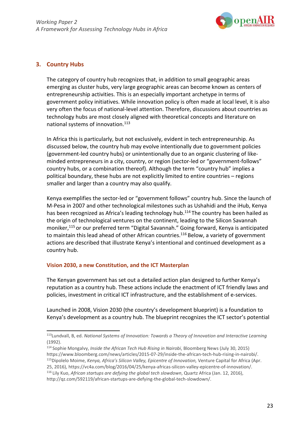

#### **3. Country Hubs**

The category of country hub recognizes that, in addition to small geographic areas emerging as cluster hubs, very large geographic areas can become known as centers of entrepreneurship activities. This is an especially important archetype in terms of government policy initiatives. While innovation policy is often made at local level, it is also very often the focus of national-level attention. Therefore, discussions about countries as technology hubs are most closely aligned with theoretical concepts and literature on national systems of innovation.<sup>113</sup>

In Africa this is particularly, but not exclusively, evident in tech entrepreneurship. As discussed below, the country hub may evolve intentionally due to government policies (government-led country hubs) or unintentionally due to an organic clustering of likeminded entrepreneurs in a city, country, or region (sector-led or "government-follows" country hubs, or a combination thereof). Although the term "country hub" implies a political boundary, these hubs are not explicitly limited to entire countries – regions smaller and larger than a country may also qualify.

Kenya exemplifies the sector-led or "government follows" country hub. Since the launch of M-Pesa in 2007 and other technological milestones such as Ushahidi and the iHub, Kenya has been recognized as Africa's leading technology hub.<sup>114</sup> The country has been hailed as the origin of technological ventures on the continent, leading to the Silicon Savannah moniker,115 or our preferred term "Digital Savannah." Going forward, Kenya is anticipated to maintain this lead ahead of other African countries.<sup>116</sup> Below, a variety of government actions are described that illustrate Kenya's intentional and continued development as a country hub.

#### **Vision 2030, a new Constitution, and the ICT Masterplan**

The Kenyan government has set out a detailed action plan designed to further Kenya's reputation as a country hub. These actions include the enactment of ICT friendly laws and policies, investment in critical ICT infrastructure, and the establishment of e-services.

Launched in 2008, Vision 2030 (the country's development blueprint) is a foundation to Kenya's development as a country hub. The blueprint recognizes the ICT sector's potential

<sup>113</sup>Lundvall, B, ed. *National Systems of Innovation: Towards a Theory of Innovation and Interactive Learning* (1992).

<sup>114</sup> Sophie Mongalvy, *Inside the African Tech Hub Rising in Nairobi*, Bloomberg News (July 30, 2015) https[://www.bloomberg.com/news/articles/2015-07-29/inside-the-african-tech-hub-rising-in-nairobi/.](http://www.bloomberg.com/news/articles/2015-07-29/inside-the-african-tech-hub-rising-in-nairobi/) 115Dipolelo Moime, *Kenya, Africa's Silicon Valley, Epicentre of Innovation,* Venture Capital for Africa (Apr. 25, 2016), https://vc4a.com/blog/2016/04/25/kenya-africas-silicon-valley-epicentre-of-innovation/. 116 Lily Kuo, *African startups are defying the global tech slowdown*, Quartz Africa (Jan. 12, 2016)[,](http://qz.com/592119/african-startups-are-defying-the-global-tech-slowdown/) [http://qz.com/592119/african-startups-are-defying-the-global-tech-slowdown/.](http://qz.com/592119/african-startups-are-defying-the-global-tech-slowdown/)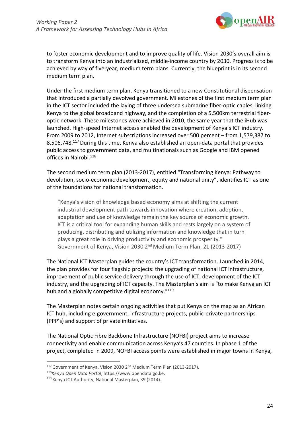

to foster economic development and to improve quality of life. Vision 2030's overall aim is to transform Kenya into an industrialized, middle-income country by 2030. Progress is to be achieved by way of five-year, medium term plans. Currently, the blueprint is in its second medium term plan.

Under the first medium term plan, Kenya transitioned to a new Constitutional dispensation that introduced a partially devolved government. Milestones of the first medium term plan in the ICT sector included the laying of three undersea submarine fiber-optic cables, linking Kenya to the global broadband highway, and the completion of a 5,500km terrestrial fiberoptic network. These milestones were achieved in 2010, the same year that the iHub was launched. High-speed Internet access enabled the development of Kenya's ICT industry. From 2009 to 2012, Internet subscriptions increased over 500 percent – from 1,579,387 to 8,506,748.117 During this time, Kenya also established an open-data portal that provides public access to government data, and multinationals such as Google and IBM opened offices in Nairobi.<sup>118</sup>

The second medium term plan (2013-2017), entitled "Transforming Kenya: Pathway to devolution, socio-economic development, equity and national unity", identifies ICT as one of the foundations for national transformation.

"Kenya's vision of knowledge based economy aims at shifting the current industrial development path towards innovation where creation, adoption, adaptation and use of knowledge remain the key source of economic growth. ICT is a critical tool for expanding human skills and rests largely on a system of producing, distributing and utilizing information and knowledge that in turn plays a great role in driving productivity and economic prosperity." Government of Kenya, Vision 2030 2nd Medium Term Plan, 21 (2013-2017)

The National ICT Masterplan guides the country's ICT transformation. Launched in 2014, the plan provides for four flagship projects: the upgrading of national ICT infrastructure, improvement of public service delivery through the use of ICT, development of the ICT industry, and the upgrading of ICT capacity. The Masterplan's aim is "to make Kenya an ICT hub and a globally competitive digital economy."<sup>119</sup>

The Masterplan notes certain ongoing activities that put Kenya on the map as an African ICT hub, including e-government, infrastructure projects, public-private partnerships (PPP's) and support of private initiatives.

The National Optic Fibre Backbone Infrastructure (NOFBI) project aims to increase connectivity and enable communication across Kenya's 47 counties. In phase 1 of the project, completed in 2009, NOFBI access points were established in major towns in Kenya,

<sup>&</sup>lt;sup>117</sup> Government of Kenya, Vision 2030 2<sup>nd</sup> Medium Term Plan (2013-2017).

<sup>118</sup>*Kenya Open Data Portal*, https:/[/www.opendata.go.ke.](http://www.opendata.go.ke/)

<sup>119</sup> Kenya ICT Authority, National Masterplan, 39 (2014).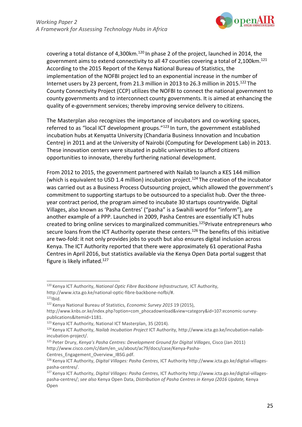

covering a total distance of 4,300km.<sup>120</sup> In phase 2 of the project, launched in 2014, the government aims to extend connectivity to all 47 counties covering a total of 2,100km.<sup>121</sup> According to the 2015 Report of the Kenya National Bureau of Statistics, the implementation of the NOFBI project led to an exponential increase in the number of Internet users by 23 percent, from 21.3 million in 2013 to 26.3 million in 2015.<sup>122</sup> The County Connectivity Project (CCP) utilizes the NOFBI to connect the national government to county governments and to interconnect county governments. It is aimed at enhancing the quality of e-government services; thereby improving service delivery to citizens.

The Masterplan also recognizes the importance of incubators and co-working spaces, referred to as "local ICT development groups."123 In turn, the government established incubation hubs at Kenyatta University (Chandaria Business Innovation and Incubation Centre) in 2011 and at the University of Nairobi (Computing for Development Lab) in 2013. These innovation centers were situated in public universities to afford citizens opportunities to innovate, thereby furthering national development.

From 2012 to 2015, the government partnered with Nailab to launch a KES 144 million (which is equivalent to USD 1.4 million) incubation project.<sup>124</sup> The creation of the incubator was carried out as a Business Process Outsourcing project, which allowed the government's commitment to supporting startups to be outsourced to a specialist hub. Over the threeyear contract period, the program aimed to incubate 30 startups countrywide. Digital Villages, also known as 'Pasha Centres' ("pasha" is a Swahili word for "inform"), are another example of a PPP. Launched in 2009, Pasha Centres are essentially ICT hubs created to bring online services to marginalized communities.<sup>125</sup>Private entrepreneurs who secure loans from the ICT Authority operate these centers.<sup>126</sup> The benefits of this initiative are two-fold: it not only provides jobs to youth but also ensures digital inclusion across Kenya. The ICT Authority reported that there were approximately 61 operational Pasha Centres in April 2016, but statistics available via the Kenya Open Data portal suggest that figure is likely inflated.127

<sup>120</sup> Kenya ICT Authority, *National Optic Fibre Backbone Infrastructure,* ICT Authority[,](http://www.icta.go.ke/national-optic-fibre-backbone-nofbi/) [http://www.icta.go.ke/national-optic-fibre-backbone-nofbi/#.](http://www.icta.go.ke/national-optic-fibre-backbone-nofbi/)

 $121$ Ibid.

<sup>122</sup> Kenya National Bureau of Statistics, *Economic Survey 2015* 19 (2015)[,](http://www.knbs.or.ke/index.php?option=com_phocadownload&view=category&id=107%3Aeconomic-survey-)

[http://www.knbs.or.ke/index.php?option=com\\_phocadownload&view=category&id=107:economic-survey](http://www.knbs.or.ke/index.php?option=com_phocadownload&view=category&id=107%3Aeconomic-survey-)publications&Itemid=1181.

<sup>123</sup> Kenya ICT Authority, National ICT Masterplan, 35 (2014).

<sup>124</sup> Kenya ICT Authority, *Nailab Incubation Project* ICT Authority, [http://www.icta.go.ke/incubation-nailab](http://www.icta.go.ke/incubation-nailab-)incubation-project/.

<sup>125</sup> Peter Drury, *Kenya's Pasha Centres: Development Ground for Digital Villages*, Cisco (Jan 2011[\)](http://www.cisco.com/c/dam/en_us/about/ac79/docs/case/Kenya-Pasha-) [http://www.cisco.com/c/dam/en\\_us/about/ac79/docs/case/Kenya-Pasha-](http://www.cisco.com/c/dam/en_us/about/ac79/docs/case/Kenya-Pasha-)

Centres\_Engagement\_Overview\_IBSG.pdf.

<sup>126</sup> Kenya ICT Authority, *Digital Villages: Pasha Centres*, ICT Authority [http://www.icta.go.ke/digital-villages](http://www.icta.go.ke/digital-villages-)pasha-centres/.

<sup>127</sup> Kenya ICT Authority, *Digital Villages: Pasha Centres*, ICT Authority [http://www.icta.go.ke/digital-villages](http://www.icta.go.ke/digital-villages-)pasha-centres/; *see also* Kenya Open Data, *Distribution of Pasha Centres in Kenya (2016 Update,* Kenya Open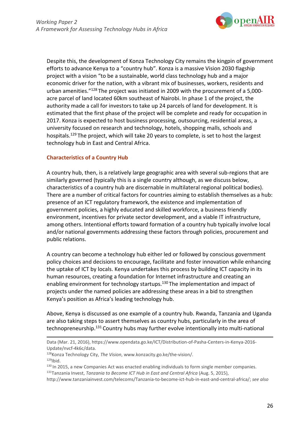

Despite this, the development of Konza Technology City remains the kingpin of government efforts to advance Kenya to a "country hub". Konza is a massive Vision 2030 flagship project with a vision "to be a sustainable, world class technology hub and a major economic driver for the nation, with a vibrant mix of businesses, workers, residents and urban amenities."128 The project was initiated in 2009 with the procurement of a 5,000 acre parcel of land located 60km southeast of Nairobi. In phase 1 of the project, the authority made a call for investors to take up 24 parcels of land for development. It is estimated that the first phase of the project will be complete and ready for occupation in 2017. Konza is expected to host business processing, outsourcing, residential areas, a university focused on research and technology, hotels, shopping malls, schools and hospitals.129 The project, which will take 20 years to complete, is set to host the largest technology hub in East and Central Africa.

### **Characteristics of a Country Hub**

A country hub, then, is a relatively large geographic area with several sub-regions that are similarly governed (typically this is a single country although, as we discuss below, characteristics of a country hub are discernable in multilateral regional political bodies). There are a number of critical factors for countries aiming to establish themselves as a hub: presence of an ICT regulatory framework, the existence and implementation of government policies, a highly educated and skilled workforce, a business friendly environment, incentives for private sector development, and a viable IT infrastructure, among others. Intentional efforts toward formation of a country hub typically involve local and/or national governments addressing these factors through policies, procurement and public relations.

A country can become a technology hub either led or followed by conscious government policy choices and decisions to encourage, facilitate and foster innovation while enhancing the uptake of ICT by locals. Kenya undertakes this process by building ICT capacity in its human resources, creating a foundation for Internet infrastructure and creating an enabling environment for technology startups.<sup>130</sup> The implementation and impact of projects under the named policies are addressing these areas in a bid to strengthen Kenya's position as Africa's leading technology hub.

Above, Kenya is discussed as one example of a country hub. Rwanda, Tanzania and Uganda are also taking steps to assert themselves as country hubs, particularly in the area of technopreneurship.<sup>131</sup> Country hubs may further evolve intentionally into multi-national

Data (Mar. 21, 2016), https:/[/www.opendata.go.ke/ICT/Distribution-of-Pasha-Centers-in-Kenya-2016-](http://www.opendata.go.ke/ICT/Distribution-of-Pasha-Centers-in-Kenya-2016-) Update/nvcf-4k6c/data.

- 128Konza Technology City, *The Vision*, [www.konzacity.go.ke/the-vision/.](http://www.konzacity.go.ke/the-vision/)  $129$ Ibid.
- 130 In 2015, a new Companies Act was enacted enabling individuals to form single member companies. 131Tanzania Invest, *Tanzania to Become ICT Hub in East and Central Africa* (Aug. 5, 2015),

[http://www.tanzaniainvest.com/telecoms/Tanzania-to-become-ict-hub-in-east-and-central-africa/;](http://www.tanzaniainvest.com/telecoms/Tanzania-to-become-ict-hub-in-east-and-central-africa/%3B) *see also*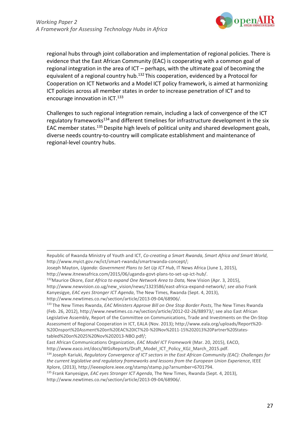

regional hubs through joint collaboration and implementation of regional policies. There is evidence that the East African Community (EAC) is cooperating with a common goal of regional integration in the area of ICT – perhaps, with the ultimate goal of becoming the equivalent of a regional country hub.<sup>132</sup> This cooperation, evidenced by a Protocol for Cooperation on ICT Networks and a Model ICT policy framework, is aimed at harmonizing ICT policies across all member states in order to increase penetration of ICT and to encourage innovation in ICT.<sup>133</sup>

Challenges to such regional integration remain, including a lack of convergence of the ICT regulatory frameworks<sup>134</sup> and different timelines for infrastructure development in the six EAC member states.135 Despite high levels of political unity and shared development goals, diverse needs country-to-country will complicate establishment and maintenance of regional-level country hubs.

Republic of Rwanda Ministry of Youth and ICT, *Co-creating a Smart Rwanda, Smart Africa and Smart World*[,](http://www.myict.gov.rw/ict/smart-rwanda/smartrwanda-concept/%3B) [http://www.myict.gov.rw/ict/smart-rwanda/smartrwanda-concept/;](http://www.myict.gov.rw/ict/smart-rwanda/smartrwanda-concept/%3B)

Joseph Mayton, *Uganda: Government Plans to Set Up ICT Hub*, IT News Africa (June 1, 2015)[,](http://www.itnewsafrica.com/2015/06/uganda-govt-plans-to-set-up-ict-hub/) [http://www.itnewsafrica.com/2015/06/uganda-govt-plans-to-set-up-ict-hub/.](http://www.itnewsafrica.com/2015/06/uganda-govt-plans-to-set-up-ict-hub/)

<sup>132</sup>Maurice Okore, *East Africa to expand One Network Area to Data,* New Vision (Apr. 3, 2015)[,](http://www.newvision.co.ug/new_vision/news/1323586/east-africa-expand-network/%3B)

[http://www.newvision.co.ug/new\\_vision/news/1323586/east-africa-expand-network/;](http://www.newvision.co.ug/new_vision/news/1323586/east-africa-expand-network/%3B) *see also* Frank Kanyesigye, *EAC eyes Stronger ICT Agenda*, The New Times, Rwanda (Sept. 4, 2013),

[http://www.newtimes.co.rw/section/article/2013-09-04/68906/.](http://www.newtimes.co.rw/section/article/2013-09-04/68906/)

<sup>133</sup> The New Times Rwanda, *EAC Ministers Approve Bill on One Stop Border Posts*, The New Times Rwanda (Feb. 26, 2012)[, http://www.newtimes.co.rw/section/article/2012-02-26/88973/; s](http://www.newtimes.co.rw/section/article/2012-02-26/88973/%3B)ee also East African Legislative Assembly, Report of the Committee on Communications, Trade and Investments on the On-Stop Assessment of Regional Cooperation in ICT, EALA (Nov. 2013)[; http://www.eala.org/uploads/Report%20-](http://www.eala.org/uploads/Report%20-) %20Onsport%20Assment%20on%20EAC%20ICT%20-%20Nov%2011-15%202013%20Partner%20Statestabled%20on%2025%20Nov%202013-NBO.pdf/;

East African Communications Organization, *EAC Model ICT Framework* (Mar. 20, 2015), EACO,

[http://www.eaco.int/docs/WGsReports/Draft\\_Model\\_ICT\\_Policy\\_KGJ\\_March\\_2015.pdf.](http://www.eaco.int/docs/WGsReports/Draft_Model_ICT_Policy_KGJ_March_2015.pdf)

<sup>134</sup> Joseph Kariuki, *Regulatory Convergence of ICT sectors in the East African Community (EAC): Challenges for the current legislative and regulatory frameworks and lessons from the European Union Experience*, IEEE Xplore, (2013)[, http://ieeexplore.ieee.org/stamp/stamp.jsp?arnumber=6701794.](http://ieeexplore.ieee.org/stamp/stamp.jsp?arnumber=6701794)

<sup>135</sup> Frank Kanyesigye, *EAC eyes Stronger ICT Agenda*, The New Times, Rwanda (Sept. 4, 2013), [http://www.newtimes.co.rw/section/article/2013-09-04/68906/.](http://www.newtimes.co.rw/section/article/2013-09-04/68906/)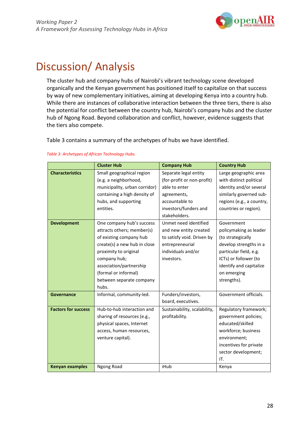

## Discussion/ Analysis

The cluster hub and company hubs of Nairobi's vibrant technology scene developed organically and the Kenyan government has positioned itself to capitalize on that success by way of new complementary initiatives, aiming at developing Kenya into a country hub. While there are instances of collaborative interaction between the three tiers, there is also the potential for conflict between the country hub, Nairobi's company hubs and the cluster hub of Ngong Road. Beyond collaboration and conflict, however, evidence suggests that the tiers also compete.

Table 3 contains a summary of the archetypes of hubs we have identified.

|                            | <b>Cluster Hub</b>            | <b>Company Hub</b>           | <b>Country Hub</b>        |
|----------------------------|-------------------------------|------------------------------|---------------------------|
| <b>Characteristics</b>     | Small geographical region     | Separate legal entity        | Large geographic area     |
|                            | (e.g. a neighborhood,         | (for-profit or non-profit)   | with distinct political   |
|                            | municipality, urban corridor) | able to enter                | identity and/or several   |
|                            | containing a high density of  | agreements,                  | similarly governed sub-   |
|                            | hubs, and supporting          | accountable to               | regions (e.g., a country, |
|                            | entities.                     | investors/funders and        | countries or region).     |
|                            |                               | stakeholders.                |                           |
| <b>Development</b>         | One company hub's success     | Unmet need identified        | Government                |
|                            | attracts others; member(s)    | and new entity created       | policymaking as leader    |
|                            | of existing company hub       | to satisfy void. Driven by   | (to strategically         |
|                            | create(s) a new hub in close  | entrepreneurial              | develop strengths in a    |
|                            | proximity to original         | individuals and/or           | particular field, e.g.    |
|                            | company hub;                  | investors.                   | ICTs) or follower (to     |
|                            | association/partnership       |                              | identify and capitalize   |
|                            | (formal or informal)          |                              | on emerging               |
|                            | between separate company      |                              | strengths).               |
|                            | hubs.                         |                              |                           |
| Governance                 | Informal, community-led.      | Funders/investors,           | Government officials.     |
|                            |                               | board, executives.           |                           |
| <b>Factors for success</b> | Hub-to-hub interaction and    | Sustainability, scalability, | Regulatory framework;     |
|                            | sharing of resources (e.g.,   | profitability.               | government policies;      |
|                            | physical spaces, Internet     |                              | educated/skilled          |
|                            | access, human resources,      |                              | workforce; business       |
|                            | venture capital).             |                              | environment;              |
|                            |                               |                              | incentives for private    |
|                            |                               |                              | sector development;       |
|                            |                               |                              | IT.                       |
| <b>Kenyan examples</b>     | Ngong Road                    | iHub                         | Kenya                     |

#### *Table 3: Archetypes of African Technology Hubs.*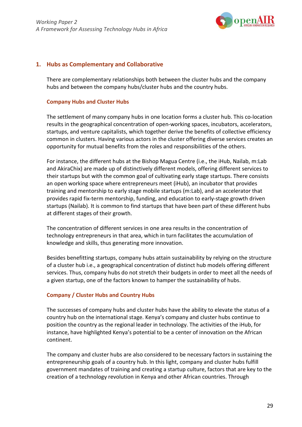

#### **1. Hubs as Complementary and Collaborative**

There are complementary relationships both between the cluster hubs and the company hubs and between the company hubs/cluster hubs and the country hubs.

#### **Company Hubs and Cluster Hubs**

The settlement of many company hubs in one location forms a cluster hub. This co-location results in the geographical concentration of open-working spaces, incubators, accelerators, startups, and venture capitalists, which together derive the benefits of collective efficiency common in clusters. Having various actors in the cluster offering diverse services creates an opportunity for mutual benefits from the roles and responsibilities of the others.

For instance, the different hubs at the Bishop Magua Centre (i.e., the iHub, Nailab, m:Lab and AkiraChix) are made up of distinctively different models, offering different services to their startups but with the common goal of cultivating early stage startups. There consists an open working space where entrepreneurs meet (iHub), an incubator that provides training and mentorship to early stage mobile startups (m:Lab), and an accelerator that provides rapid fix-term mentorship, funding, and education to early-stage growth driven startups (Nailab). It is common to find startups that have been part of these different hubs at different stages of their growth.

The concentration of different services in one area results in the concentration of technology entrepreneurs in that area, which in turn facilitates the accumulation of knowledge and skills, thus generating more innovation.

Besides benefitting startups, company hubs attain sustainability by relying on the structure of a cluster hub i.e., a geographical concentration of distinct hub models offering different services. Thus, company hubs do not stretch their budgets in order to meet all the needs of a given startup, one of the factors known to hamper the sustainability of hubs.

#### **Company / Cluster Hubs and Country Hubs**

The successes of company hubs and cluster hubs have the ability to elevate the status of a country hub on the international stage. Kenya's company and cluster hubs continue to position the country as the regional leader in technology. The activities of the iHub, for instance, have highlighted Kenya's potential to be a center of innovation on the African continent.

The company and cluster hubs are also considered to be necessary factors in sustaining the entrepreneurship goals of a country hub. In this light, company and cluster hubs fulfill government mandates of training and creating a startup culture, factors that are key to the creation of a technology revolution in Kenya and other African countries. Through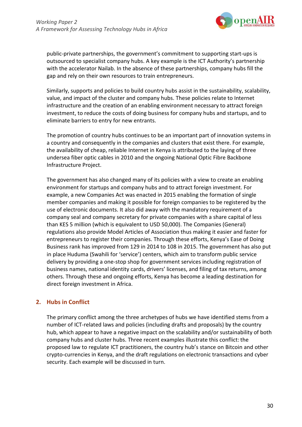

public-private partnerships, the government's commitment to supporting start-ups is outsourced to specialist company hubs. A key example is the ICT Authority's partnership with the accelerator Nailab. In the absence of these partnerships, company hubs fill the gap and rely on their own resources to train entrepreneurs.

Similarly, supports and policies to build country hubs assist in the sustainability, scalability, value, and impact of the cluster and company hubs. These policies relate to Internet infrastructure and the creation of an enabling environment necessary to attract foreign investment, to reduce the costs of doing business for company hubs and startups, and to eliminate barriers to entry for new entrants.

The promotion of country hubs continues to be an important part of innovation systems in a country and consequently in the companies and clusters that exist there. For example, the availability of cheap, reliable Internet in Kenya is attributed to the laying of three undersea fiber optic cables in 2010 and the ongoing National Optic Fibre Backbone Infrastructure Project.

The government has also changed many of its policies with a view to create an enabling environment for startups and company hubs and to attract foreign investment. For example, a new Companies Act was enacted in 2015 enabling the formation of single member companies and making it possible for foreign companies to be registered by the use of electronic documents. It also did away with the mandatory requirement of a company seal and company secretary for private companies with a share capital of less than KES 5 million (which is equivalent to USD 50,000). The Companies (General) regulations also provide Model Articles of Association thus making it easier and faster for entrepreneurs to register their companies. Through these efforts, Kenya's Ease of Doing Business rank has improved from 129 in 2014 to 108 in 2015. The government has also put in place Huduma (Swahili for 'service') centers, which aim to transform public service delivery by providing a one-stop shop for government services including registration of business names, national identity cards, drivers' licenses, and filing of tax returns, among others. Through these and ongoing efforts, Kenya has become a leading destination for direct foreign investment in Africa.

### **2. Hubs in Conflict**

The primary conflict among the three archetypes of hubs we have identified stems from a number of ICT-related laws and policies (including drafts and proposals) by the country hub, which appear to have a negative impact on the scalability and/or sustainability of both company hubs and cluster hubs. Three recent examples illustrate this conflict: the proposed law to regulate ICT practitioners, the country hub's stance on Bitcoin and other crypto-currencies in Kenya, and the draft regulations on electronic transactions and cyber security. Each example will be discussed in turn.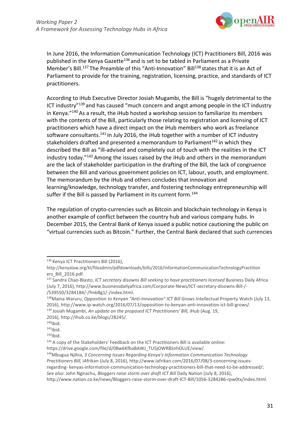

In June 2016, the Information Communication Technology (ICT) Practitioners Bill, 2016 was published in the Kenya Gazette<sup>136</sup> and is set to be tabled in Parliament as a Private Member's Bill.<sup>137</sup> The Preamble of this "Anti-Innovation" Bill<sup>138</sup> states that it is an Act of Parliament to provide for the training, registration, licensing, practice, and standards of ICT practitioners.

According to iHub Executive Director Josiah Mugambi, the Bill is "hugely detrimental to the ICT industry"139 and has caused "much concern and angst among people in the ICT industry in Kenya."140 As a result, the iHub hosted a workshop session to familiarize its members with the contents of the Bill, particularly those relating to registration and licensing of ICT practitioners which have a direct impact on the iHub members who work as freelance software consultants.<sup>141</sup> In July 2016, the iHub together with a number of ICT industry stakeholders drafted and presented a memorandum to Parliament<sup>142</sup> in which they described the Bill as "ill-advised and completely out of touch with the realities in the ICT industry today."143 Among the issues raised by the iHub and others in the memorandum are the lack of stakeholder participation in the drafting of the Bill, the lack of congruence between the Bill and various government policies on ICT, labour, youth, and employment. The memorandum by the iHub and others concludes that innovation and learning/knowledge, technology transfer, and fostering technology entrepreneurship will suffer if the Bill is passed by Parliament in its current form.<sup>144</sup>

The regulation of crypto-currencies such as Bitcoin and blockchain technology in Kenya is another example of conflict between the country hub and various company hubs. In December 2015, the Central Bank of Kenya issued a public notice cautioning the public on "virtual currencies such as Bitcoin." Further, the Central Bank declared that such currencies

139 Josiah Mugambi, *An update on the proposed ICT Practitioners' Bill,* iHub (Aug. 19,

[regarding-](http://www.iafrikan.com/2016/07/08/3-concerning-issues-regarding-) kenyas-information-communication-technology-practitioners-bill-that-need-to-be-addressed/; *See also*: John Ngirachu, *Bloggers raise storm over draft ICT Bill* Daily Nation (July 8, 2016),

<sup>136</sup> Kenya ICT Practitioners Bill (2016)[,](http://kenyalaw.org/kl/fileadmin/pdfdownloads/bills/2016/InformationCommunicationTechnologyPractition)

<http://kenyalaw.org/kl/fileadmin/pdfdownloads/bills/2016/InformationCommunicationTechnologyPractition> ers\_Bill\_2016.pdf.

<sup>137</sup> Sandra Chao-Blasto, *ICT secretary disowns Bill seeking to have practitioners licensed* Business Daily Africa (July 7, 2016)[, http://www.businessdailyafrica.com/Corporate-News/ICT-secretary-disowns-Bill-/-](http://www.businessdailyafrica.com/Corporate-News/ICT-secretary-disowns-Bill-/-) /539550/3284184/-/fmb8g1/-/index.html.

<sup>138</sup>Maina Waruru, *Opposition to Kenyan "Anti-Innovation" ICT Bill Grows* Intellectual Property Watch (July 13, 2016), [http://www.ip-watch.org/2016/07/13/opposition-to-kenyan-anti-innovation-ict-bill-grows/.](http://www.ip-watch.org/2016/07/13/opposition-to-kenyan-anti-innovation-ict-bill-grows/)

<sup>2016),</sup> [http://ihub.co.ke/blogs/28245/.](http://ihub.co.ke/blogs/28245/)

 $140$ Ibid.<br> $141$ Ibid.<br> $142$ Ibid.

<sup>143</sup> A copy of the Stakeholders' Feedback on the ICT Practitioners Bill is available online:

https://drive.google.com/file/d/0Bw6KfbaBAWJ\_TU5jOWRBSnhOLUE/view/.

<sup>144</sup>Mbugua Njihia, *3 Concerning Issues Regarding Kenya's Information Communication Technology* 

*Practitioners Bill,* iAfrikan (July 8, 2016), [http://www.iafrikan.com/2016/07/08/3-concerning-issues-](http://www.iafrikan.com/2016/07/08/3-concerning-issues-regarding-)

[http://www.nation.co.ke/news/Bloggers-raise-storm-over-draft-ICT-Bill/1056-3284286-rpw0tx/index.html.](http://www.nation.co.ke/news/Bloggers-raise-storm-over-draft-ICT-Bill/1056-3284286-rpw0tx/index.html)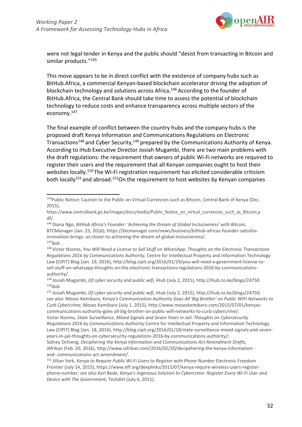

were not legal tender in Kenya and the public should "desist from transacting in Bitcoin and similar products."<sup>145</sup>

This move appears to be in direct conflict with the existence of company hubs such as BitHub.Africa, a commercial Kenyan-based blockchain accelerator driving the adoption of blockchain technology and solutions across Africa.<sup>146</sup> According to the founder of BitHub.Africa, the Central Bank should take time to assess the potential of blockchain technology to reduce costs and enhance transparency across multiple sectors of the economy.147

The final example of conflict between the country hubs and the company hubs is the proposed draft Kenya Information and Communications Regulations on Electronic Transactions<sup>148</sup> and Cyber Security,<sup>149</sup> prepared by the Communications Authority of Kenya. According to iHub Executive Director Josiah Mugambi, there are two main problems with the draft regulations: the requirement that owners of public Wi-Fi networks are required to register their users and the requirement that all Kenyan companies ought to host their websites locally.<sup>150</sup> The Wi-Fi registration requirement has elicited considerable criticism both locally<sup>151</sup> and abroad.<sup>152</sup>On the requirement to host websites by Kenyan companies

<sup>145</sup> Public Notice: Caution to the Public on Virtual Currencies such as Bitcoin, Central Bank of Kenya (Dec. 2015),

http[s://www.centralbank.go.ke/images/docs/media/Public\\_Notice\\_on\\_virtual\\_currencies\\_such\\_as\\_Bitcoin.p](http://www.centralbank.go.ke/images/docs/media/Public_Notice_on_virtual_currencies_such_as_Bitcoin.p)  df/.

<sup>146</sup> Diana Ngo, *BitHub Africa's Founder: 'Achieving the Dream of Global Inclusiveness' with Bitcoin,*  BTCManager (Jan. 23, 2016), https://btcmanager.com/news/business/bithub-africas-founder-satoshisinnovation-brings- us-closer-to-achieving-the-dream-of-global-inclusiveness/.  $147$ Ibid.

<sup>148</sup> Victor Nzomo, *You Will Need a License to Sell Stuff on WhatsApp: Thoughts on the Electronic Transactions Regulations 2016 by Communications Authority,* Centre for Intellectual Property and Information Technology Law (CIPIT) Blog (Jan. 19, 2016)[, http://blog.cipit.org/2016/01/19/you-will-need-a-government-license-to](http://blog.cipit.org/2016/01/19/you-will-need-a-government-license-to-)sell-stuff-on-whatsapp-thoughts-on-the-electronic-transactions-regulations-2016-by-communicationsauthority/.

<sup>149</sup> Josiah Mugambi, *Of cyber security and public wifi,* iHub (July 2, 2015)[, http://ihub.co.ke/blogs/24750.](http://ihub.co.ke/blogs/24750)  $150$ Ibid.

<sup>151</sup> Josiah Mugambi, *Of cyber security and public wifi,* iHub (July 2, 2015)[, http://ihub.co.ke/blogs/24750](http://ihub.co.ke/blogs/24750%3B)*; see also*: Moses Kemibaro, *Kenya's Communication Authority Goes All 'Big Brother' on Public WIFI Networks to Curb Cybercrime,* Moses Kemibaro (July 1, 2015)[, http://www.moseskemibaro.com/2015/07/01/kenyas](http://www.moseskemibaro.com/2015/07/01/kenyas-)communications-authority-goes-all-big-brother-on-public-wifi-networks-to-curb-cybercrime/; Victor Nzomo, *State Surveillance, Mixed Signals and Seven Years in Jail: Thoughts on Cybersecurity Regulations 2016 by Communications Authority* Centre for Intellectual Property and Information Technology Law (CIPIT) Blog (Jan. 18, 2016),<http://blog.cipit.org/2016/01/18/state-surveillance-mixed-signals-and-seven->

years-in-jail-thoughts-on-cybersecurity-regulations-2016-by-communications-authority/;

Sidney Ochieng, *Deciphering the Kenya Information and Communications Act Amendment Drafts,* iAfrikan (Feb. 20, 2016)[, http://www.iafrikan.com/2016/02/20/decipehering-the-kenya-information](http://www.iafrikan.com/2016/02/20/decipehering-the-kenya-information-and-)[and-](http://www.iafrikan.com/2016/02/20/decipehering-the-kenya-information-and-) communications-act-amendment/.

<sup>152</sup> Jillian York, *Kenya to Require Public Wi-Fi Users to Register with Phone Number* Electronic Freedom Frontier (July 14, 2015), https[://www.eff.org/deeplinks/2015/07/kenya-require-wireless-users-register](http://www.eff.org/deeplinks/2015/07/kenya-require-wireless-users-register-)phone-number; *see also* Karl Bode, *Kenya's Ingenious Solution to Cybercrime: Register Every Wi-Fi User and Device with The Government,* Techdirt (July 6, 2015),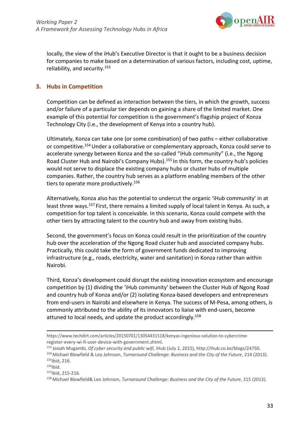

locally, the view of the iHub's Executive Director is that it ought to be a business decision for companies to make based on a determination of various factors, including cost, uptime, reliability, and security.153

#### **3. Hubs in Competition**

Competition can be defined as interaction between the tiers, in which the growth, success and/or failure of a particular tier depends on gaining a share of the limited market. One example of this potential for competition is the government's flagship project of Konza Technology City (i.e., the development of Kenya into a country hub).

Ultimately, Konza can take one (or some combination) of two paths – either collaborative or competitive.<sup>154</sup> Under a collaborative or complementary approach, Konza could serve to accelerate synergy between Konza and the so-called "iHub community" (i.e., the Ngong Road Cluster Hub and Nairobi's Company Hubs).155 In this form, the country hub's policies would not serve to displace the existing company hubs or cluster hubs of multiple companies. Rather, the country hub serves as a platform enabling members of the other tiers to operate more productively.<sup>156</sup>

Alternatively, Konza also has the potential to undercut the organic 'iHub community' in at least three ways.<sup>157</sup> First, there remains a limited supply of local talent in Kenya. As such, a competition for top talent is conceivable. In this scenario, Konza could compete with the other tiers by attracting talent to the country hub and away from existing hubs.

Second, the government's focus on Konza could result in the prioritization of the country hub over the acceleration of the Ngong Road cluster hub and associated company hubs. Practically, this could take the form of government funds dedicated to improving infrastructure (e.g., roads, electricity, water and sanitation) in Konza rather than within Nairobi.

Third, Konza's development could disrupt the existing innovation ecosystem and encourage competition by (1) dividing the 'iHub community' between the Cluster Hub of Ngong Road and country hub of Konza and/or (2) isolating Konza-based developers and entrepreneurs from end-users in Nairobi and elsewhere in Kenya. The success of M-Pesa, among others, is commonly attributed to the ability of its innovators to liaise with end-users, become attuned to local needs, and update the product accordingly.<sup>158</sup>

157Ibid, 215-216.

http[s://www.techdirt.com/articles/20150701/13054431518/kenyas-ingenious-solution-to-cybercrime](http://www.techdirt.com/articles/20150701/13054431518/kenyas-ingenious-solution-to-cybercrime-)register-every-wi-fi-user-device-with-government.shtml.

<sup>153</sup> Josiah Mugambi, *Of cyber security and public wifi,* iHub (July 2, 2015)[, http://ihub.co.ke/blogs/24750.](http://ihub.co.ke/blogs/24750) 154 Michael Blowfield & Leo Johnson, *Turnaround Challenge: Business and the City of the Future*, 214 (2013). 155Ibid, 216.

 $156$ Ibid.

<sup>158</sup> Michael Blowfield& Leo Johnson, *Turnaround Challenge: Business and the City of the Future*, 215 (2013).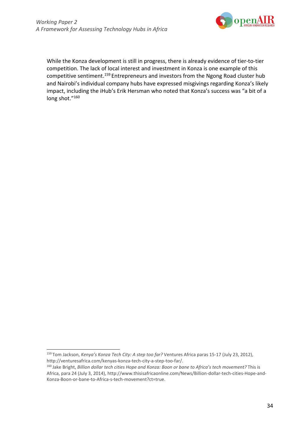

While the Konza development is still in progress, there is already evidence of tier-to-tier competition. The lack of local interest and investment in Konza is one example of this competitive sentiment.<sup>159</sup> Entrepreneurs and investors from the Ngong Road cluster hub and Nairobi's individual company hubs have expressed misgivings regarding Konza's likely impact, including the iHub's Erik Hersman who noted that Konza's success was "a bit of a long shot."160

<sup>159</sup> Tom Jackson, *Kenya's Konza Tech City: A step too far?* Ventures Africa paras 15-17 (July 23, 2012), [http://venturesafrica.com/kenyas-konza-tech-city-a-step-too-far/.](http://venturesafrica.com/kenyas-konza-tech-city-a-step-too-far/)

<sup>160</sup> Jake Bright, *Billion dollar tech cities Hope and Konza: Boon or bane to Africa's tech movement?* This is Africa, para 24 (July 3, 2014),<http://www.thisisafricaonline.com/News/Billion-dollar-tech-cities-Hope-and->Konza-Boon-or-bane-to-Africa-s-tech-movement?ct=true.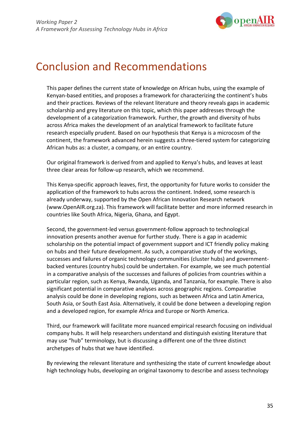

### Conclusion and Recommendations

This paper defines the current state of knowledge on African hubs, using the example of Kenyan-based entities, and proposes a framework for characterizing the continent's hubs and their practices. Reviews of the relevant literature and theory reveals gaps in academic scholarship and grey literature on this topic, which this paper addresses through the development of a categorization framework. Further, the growth and diversity of hubs across Africa makes the development of an analytical framework to facilitate future research especially prudent. Based on our hypothesis that Kenya is a microcosm of the continent, the framework advanced herein suggests a three-tiered system for categorizing African hubs as: a cluster, a company, or an entire country.

Our original framework is derived from and applied to Kenya's hubs, and leaves at least three clear areas for follow-up research, which we recommend.

This Kenya-specific approach leaves, first, the opportunity for future works to consider the application of the framework to hubs across the continent. Indeed, some research is already underway, supported by the Open African Innovation Research network (www.OpenAIR.org.za). This framework will facilitate better and more informed research in countries like South Africa, Nigeria, Ghana, and Egypt.

Second, the government-led versus government-follow approach to technological innovation presents another avenue for further study. There is a gap in academic scholarship on the potential impact of government support and ICT friendly policy making on hubs and their future development. As such, a comparative study of the workings, successes and failures of organic technology communities (cluster hubs) and governmentbacked ventures (country hubs) could be undertaken. For example, we see much potential in a comparative analysis of the successes and failures of policies from countries within a particular region, such as Kenya, Rwanda, Uganda, and Tanzania, for example. There is also significant potential in comparative analyses across geographic regions. Comparative analysis could be done in developing regions, such as between Africa and Latin America, South Asia, or South East Asia. Alternatively, it could be done between a developing region and a developed region, for example Africa and Europe or North America.

Third, our framework will facilitate more nuanced empirical research focusing on individual company hubs. It will help researchers understand and distinguish existing literature that may use "hub" terminology, but is discussing a different one of the three distinct archetypes of hubs that we have identified.

By reviewing the relevant literature and synthesizing the state of current knowledge about high technology hubs, developing an original taxonomy to describe and assess technology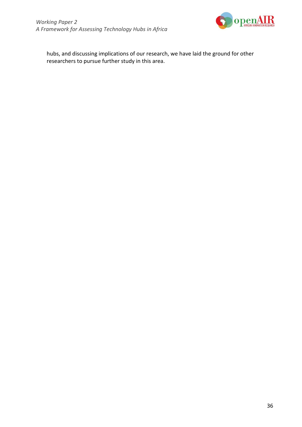

hubs, and discussing implications of our research, we have laid the ground for other researchers to pursue further study in this area.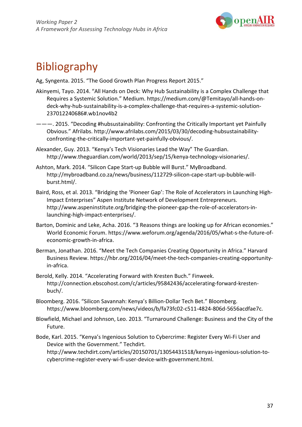

## Bibliography

Ag, Syngenta. 2015. "The Good Growth Plan Progress Report 2015."

- Akinyemi, Tayo. 2014. "All Hands on Deck: Why Hub Sustainability is a Complex Challenge that Requires a Systemic Solution." Medium. [https://medium.com/@Temitayo/all-hands-on](https://medium.com/%40Temitayo/all-hands-on-)deck-why-hub-sustainability-is-a-complex-challenge-that-requires-a-systemic-solution-237012240686#.wb1nov4b2
- ———. 2015. "Decoding #hubsustainability: Confronting the Critically Important yet Painfully Obvious." Afrilabs. [http://www.afrilabs.com/2015/03/30/decoding-hubsustainability](http://www.afrilabs.com/2015/03/30/decoding-hubsustainability-)confronting-the-critically-important-yet-painfully-obvious/.
- Alexander, Guy. 2013. "Kenya's Tech Visionaries Lead the Way" The Guardian[.](http://www.theguardian.com/world/2013/sep/15/kenya-technology-visionaries/) [http://www.theguardian.com/world/2013/sep/15/kenya-technology-visionaries/.](http://www.theguardian.com/world/2013/sep/15/kenya-technology-visionaries/)
- Ashton, Mark. 2014. "Silicon Cape Start-up Bubble will Burst." MyBroadband[.](http://mybroadband.co.za/news/business/112729-silicon-cape-start-up-bubble-will-) [http://mybroadband.co.za/news/business/112729-silicon-cape-start-up-bubble-will](http://mybroadband.co.za/news/business/112729-silicon-cape-start-up-bubble-will-)burst.html/.
- Baird, Ross, et al. 2013. "Bridging the 'Pioneer Gap': The Role of Accelerators in Launching High-Impact Enterprises" Aspen Institute Network of Development Entrepreneurs[.](http://www.aspeninstitute.org/bridging-the-pioneer-gap-the-role-of-accelerators-in-) [http://www.aspeninstitute.org/bridging-the-pioneer-gap-the-role-of-accelerators-in](http://www.aspeninstitute.org/bridging-the-pioneer-gap-the-role-of-accelerators-in-)launching-high-impact-enterprises/.
- Barton, Dominic and Leke, Acha. 2016. "3 Reasons things are looking up for African economies." World Economic Forum. https:[//www.weforum.org/agenda/2016/05/what-s-the-future-of](http://www.weforum.org/agenda/2016/05/what-s-the-future-of-)economic-growth-in-africa.
- Berman, Jonathan. 2016. "Meet the Tech Companies Creating Opportunity in Africa." Harvard Business Review. https://hbr.org/2016/04/meet-the-tech-companies-creating-opportunityin-africa.
- Berold, Kelly. 2014. "Accelerating Forward with Kresten Buch." Finweek[.](http://connection.ebscohost.com/c/articles/95842436/accelerating-forward-kresten-) [http://connection.ebscohost.com/c/articles/95842436/accelerating-forward-kresten](http://connection.ebscohost.com/c/articles/95842436/accelerating-forward-kresten-)buch/.
- Bloomberg. 2016. "Silicon Savannah: Kenya's Billion-Dollar Tech Bet." Bloomberg. https:[//www.bloomberg.com/news/videos/b/fa73fc02-c511-4824-806d-5656acdfae7c.](http://www.bloomberg.com/news/videos/b/fa73fc02-c511-4824-806d-5656acdfae7c)
- Blowfield, Michael and Johnson, Leo. 2013. "Turnaround Challenge: Business and the City of the Future.
- Bode, Karl. 2015. "Kenya's Ingenious Solution to Cybercrime: Register Every Wi-Fi User and Device with the Government." Techdirt. [http://www.techdirt.com/articles/20150701/13054431518/kenyas-ingenious-solution-to](http://www.techdirt.com/articles/20150701/13054431518/kenyas-ingenious-solution-to-)cybercrime-register-every-wi-fi-user-device-with-government.html.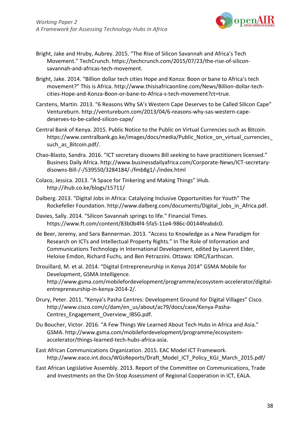

- Bright, Jake and Hruby, Aubrey. 2015. "The Rise of Silicon Savannah and Africa's Tech Movement." TechCrunch. https://techcrunch.com/2015/07/23/the-rise-of-siliconsavannah-and-africas-tech-movement.
- Bright, Jake. 2014. "Billion dollar tech cities Hope and Konza: Boon or bane to Africa's tech movement?" This is Africa. [http://www.thisisafricaonline.com/News/Billion-dollar-tech](http://www.thisisafricaonline.com/News/Billion-dollar-tech-)cities-Hope-and-Konza-Boon-or-bane-to-Africa-s-tech-movement?ct=true.
- Carstens, Martin. 2013. "6 Reasons Why SA's Western Cape Deserves to be Called Silicon Cape" Ventureburn[. http://ventureburn.com/2013/04/6-reasons-why-sas-western-cape](http://ventureburn.com/2013/04/6-reasons-why-sas-western-cape-)deserves-to-be-called-silicon-cape/
- Central Bank of Kenya. 2015. Public Notice to the Public on Virtual Currencies such as Bitcoin. https:[//www.centralbank.go.ke/images/docs/media/Public\\_Notice\\_on\\_virtual\\_currencies\\_](http://www.centralbank.go.ke/images/docs/media/Public_Notice_on_virtual_currencies_) such as Bitcoin.pdf/.
- Chao-Blasto, Sandra. 2016. "ICT secretary disowns Bill seeking to have practitioners licensed." Business Daily Africa. [http://www.businessdailyafrica.com/Corporate-News/ICT-secretary](http://www.businessdailyafrica.com/Corporate-News/ICT-secretary-)disowns-Bill-/-/539550/3284184/-/fmb8g1/-/index.html
- Colaco, Jessica. 2013. "A Space for Tinkering and Making Things" iHub[.](http://ihub.co.ke/blogs/15711/) <http://ihub.co.ke/blogs/15711/>
- Dalberg. 2013. "Digital Jobs in Africa: Catalyzing Inclusive Opportunities for Youth" The Rockefeller Foundation. [http://www.dalberg.com/documents/Digital\\_Jobs\\_in\\_Africa.pdf.](http://www.dalberg.com/documents/Digital_Jobs_in_Africa.pdf)
- Davies, Sally. 2014. "Silicon Savannah springs to life." Financial Times. https:[//www.ft.com/content/83b0b4f4-5fa5-11e4-986c-00144feabdc0.](http://www.ft.com/content/83b0b4f4-5fa5-11e4-986c-00144feabdc0)
- de Beer, Jeremy, and Sara Bannerman. 2013. "Access to Knowledge as a New Paradigm for Research on ICTs and Intellectual Property Rights." In The Role of Information and Communications Technology in International Development, edited by Laurent Elder, Heloise Emdon, Richard Fuchs, and Ben Petrazzini. Ottawa: IDRC/Earthscan.
- Drouillard, M. et al. 2014. "Digital Entrepreneurship in Kenya 2014" GSMA Mobile for Development, GSMA Intelligence[.](http://www.gsma.com/mobilefordevelopment/programme/ecosystem-accelerator/digital-) [http://www.gsma.com/mobilefordevelopment/programme/ecosystem-accelerator/digital](http://www.gsma.com/mobilefordevelopment/programme/ecosystem-accelerator/digital-)entrepreneurship-in-kenya-2014-2/.
- Drury, Peter. 2011. "Kenya's Pasha Centres: Development Ground for Digital Villages" Cisco. [http://www.cisco.com/c/dam/en\\_us/about/ac79/docs/case/Kenya-Pasha-](http://www.cisco.com/c/dam/en_us/about/ac79/docs/case/Kenya-Pasha-)Centres Engagement Overview IBSG.pdf.
- Du Boucher, Victor. 2016. "A Few Things We Learned About Tech Hubs in Africa and Asia." GS[MA. http://www.gsma.com/mobilefordevelopment/programme/ecosystem](http://www.gsma.com/mobilefordevelopment/programme/ecosystem-)accelerator/things-learned-tech-hubs-africa-asia.
- East African Communications Organization. 2015. EAC Model ICT Framework[.](http://www.eaco.int.docs/WGsReports/Draft_Model_ICT_Policy_KGJ_March_2015.pdf/) [http://www.eaco.int.docs/WGsReports/Draft\\_Model\\_ICT\\_Policy\\_KGJ\\_March\\_2015.pdf/](http://www.eaco.int.docs/WGsReports/Draft_Model_ICT_Policy_KGJ_March_2015.pdf/)
- East African Legislative Assembly. 2013. Report of the Committee on Communications, Trade and Investments on the On-Stop Assessment of Regional Cooperation in ICT, EALA.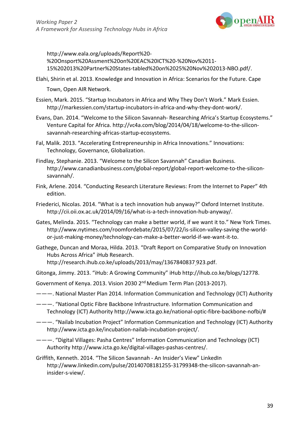

<http://www.eala.org/uploads/Report%20-> %20Onsport%20Assment%20on%20EAC%20ICT%20-%20Nov%2011- 15%202013%20Partner%20States-tabled%20on%2025%20Nov%202013-NBO.pdf/.

- Elahi, Shirin et al. 2013. Knowledge and Innovation in Africa: Scenarios for the Future. Cape Town, Open AIR Network.
- Essien, Mark. 2015. "Startup Incubators in Africa and Why They Don't Work." Mark Essien[.](http://markessien.com/startup-incubators-in-africa-and-why-they-dont-work/) [http://markessien.com/startup-incubators-in-africa-and-why-they-dont-work/.](http://markessien.com/startup-incubators-in-africa-and-why-they-dont-work/)
- Evans, Dan. 2014. "Welcome to the Silicon Savannah- Researching Africa's Startup Ecosystems." Venture Capital for Africa. [http://vc4a.com/blog/2014/04/18/welcome-to-the-silicon](http://vc4a.com/blog/2014/04/18/welcome-to-the-silicon-)savannah-researching-africas-startup-ecosystems.
- Fal, Malik. 2013. "Accelerating Entrepreneurship in Africa Innovations." Innovations: Technology, Governance, Globalization.
- Findlay, Stephanie. 2013. "Welcome to the Silicon Savannah" Canadian Business[.](http://www.canadianbusiness.com/global-report/global-report-welcome-to-the-silicon-) [http://www.canadianbusiness.com/global-report/global-report-welcome-to-the-silicon](http://www.canadianbusiness.com/global-report/global-report-welcome-to-the-silicon-)savannah/.
- Fink, Arlene. 2014. "Conducting Research Literature Reviews: From the Internet to Paper" 4th edition.
- Friederici, Nicolas. 2014. "What is a tech innovation hub anyway?" Oxford Internet Institute[.](http://cii.oii.ox.ac.uk/2014/09/16/what-is-a-tech-innovation-hub-anyway/) [http://cii.oii.ox.ac.uk/2014/09/16/what-is-a-tech-innovation-hub-anyway/.](http://cii.oii.ox.ac.uk/2014/09/16/what-is-a-tech-innovation-hub-anyway/)
- Gates, Melinda. 2015. "Technology can make a better world, if we want it to." New York Times[.](http://www.nytimes.com/roomfordebate/2015/07/22/is-silicon-valley-saving-the-world-) [http://www.nytimes.com/roomfordebate/2015/07/22/is-silicon-valley-saving-the-world](http://www.nytimes.com/roomfordebate/2015/07/22/is-silicon-valley-saving-the-world-)or-just-making-money/technology-can-make-a-better-world-if-we-want-it-to.
- Gathege, Duncan and Moraa, Hilda. 2013. "Draft Report on Comparative Study on Innovation Hubs Across Africa" iHub Research[.](http://research.ihub.co.ke/uploads/2013/may/1367840837) <http://research.ihub.co.ke/uploads/2013/may/1367840837> 923.pdf.

Gitonga, Jimmy. 2013. "iHub: A Growing Community" iHub [http://ihub.co.ke/blogs/12778.](http://ihub.co.ke/blogs/12778)

Government of Kenya. 2013. Vision 2030 2nd Medium Term Plan (2013-2017).

- ———. National Master Plan 2014. Information Communication and Technology (ICT) Authority
- ———. "National Optic Fibre Backbone Infrastructure. Information Communication and Technology (ICT) Authority [http://www.icta.go.ke/national-optic-fibre-backbone-nofbi/#](http://www.icta.go.ke/national-optic-fibre-backbone-nofbi/)
- ———. "Nailab Incubation Project" Information Communication and Technology (ICT) Authorit[y](http://www.icta.go.ke/incubation-nailab-incubation-project/) [http://www.icta.go.ke/incubation-nailab-incubation-project/.](http://www.icta.go.ke/incubation-nailab-incubation-project/)
- ———. "Digital Villages: Pasha Centres" Information Communication and Technology (ICT) Authority [http://www.icta.go.ke/digital-villages-pashas-centres/.](http://www.icta.go.ke/digital-villages-pashas-centres/)
- Griffith, Kenneth. 2014. "The Silicon Savannah An Insider's View" LinkedI[n](http://www.linkedin.com/pulse/20140708181255-31799348-the-silicon-savannah-an-) [http://www.linkedin.com/pulse/20140708181255-31799348-the-silicon-savannah-an](http://www.linkedin.com/pulse/20140708181255-31799348-the-silicon-savannah-an-)insider-s-view/.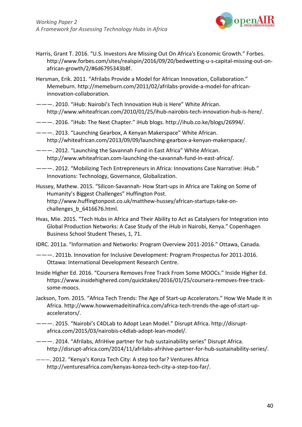

- Harris, Grant T. 2016. "U.S. Investors Are Missing Out On Africa's Economic Growth." Forbes[.](http://www.forbes.com/sites/realspin/2016/09/20/bedwetting-u-s-capital-missing-out-on-) [http://www.forbes.com/sites/realspin/2016/09/20/bedwetting-u-s-capital-missing-out-on](http://www.forbes.com/sites/realspin/2016/09/20/bedwetting-u-s-capital-missing-out-on-)african-growth/2/#6d6795343b8f.
- Hersman, Erik. 2011. "Afrilabs Provide a Model for African Innovation, Collaboration." Memeburn. [http://memeburn.com/2011/02/afrilabs-provide-a-model-for-african](http://memeburn.com/2011/02/afrilabs-provide-a-model-for-african-)innovation-collaboration.
- ———. 2010. "iHub: Nairobi's Tech Innovation Hub is Here" White African[.](http://www.whiteafrican.com/2010/01/25/ihub-nairobis-tech-innovation-hub-is-here/) [http://www.whiteafrican.com/2010/01/25/ihub-nairobis-tech-innovation-hub-is-here/.](http://www.whiteafrican.com/2010/01/25/ihub-nairobis-tech-innovation-hub-is-here/)
- ———. 2016. "iHub: The Next Chapter." iHub blogs. [http://ihub.co.ke/blogs/26994/.](http://ihub.co.ke/blogs/26994/)
- ———. 2013. "Launching Gearbox, A Kenyan Makerspace" White African[.](http://whiteafrican.com/2013/09/09/launching-gearbox-a-kenyan-makerspace/) [http://whiteafrican.com/2013/09/09/launching-gearbox-a-kenyan-makerspace/.](http://whiteafrican.com/2013/09/09/launching-gearbox-a-kenyan-makerspace/)
- ———. 2012. "Launching the Savannah Fund in East Africa" White African[.](http://www.whiteafrican.com-launching-the-savannah-fund-in-east-africa/) [http://www.whiteafrican.com-launching-the-savannah-fund-in-east-africa/.](http://www.whiteafrican.com-launching-the-savannah-fund-in-east-africa/)
- ———. 2012. "Mobilizing Tech Entrepreneurs in Africa: Innovations Case Narrative: iHub." Innovations: Technology, Governance, Globalization.
- Hussey, Mathew. 2015. "Silicon-Savannah- How Start-ups in Africa are Taking on Some of Humanity's Biggest Challenges" Huffington Post[.](http://www.huffingtonpost.co.uk/matthew-hussey/african-startups-take-on-) [http://www.huffingtonpost.co.uk/matthew-hussey/african-startups-take-on](http://www.huffingtonpost.co.uk/matthew-hussey/african-startups-take-on-)challenges\_b\_6416676.html.
- Hvas, Mie. 2015. "Tech Hubs in Africa and Their Ability to Act as Catalysers for Integration into Global Production Networks: A Case Study of the iHub in Nairobi, Kenya." Copenhagen Business School Student Theses, 1, 71.
- IDRC. 2011a. "Information and Networks: Program Overview 2011-2016." Ottawa, Canada.
- ———. 2011b. Innovation for Inclusive Development: Program Prospectus for 2011-2016. Ottawa: International Development Research Centre.
- Inside Higher Ed. 2016. "Coursera Removes Free Track From Some MOOCs." Inside Higher Ed. https:[//www.insidehighered.com/quicktakes/2016/01/25/coursera-removes-free-track](http://www.insidehighered.com/quicktakes/2016/01/25/coursera-removes-free-track-)some-moocs.
- Jackson, Tom. 2015. "Africa Tech Trends: The Age of Start-up Accelerators." How We Made It in Africa. [http://www.howwemadeitinafrica.com/africa-tech-trends-the-age-of-start-up](http://www.howwemadeitinafrica.com/africa-tech-trends-the-age-of-start-up-)accelerators/.
- ———. 2015. "Nairobi's C4DLab to Adopt Lean Model." Disrupt Africa[. http://disrupt](http://disrupt-/)africa.com/2015/03/nairobis-c4dlab-adopt-lean-model/.
- ———. 2014. "Afrilabs, AfriHive partner for hub sustainability series" Disrupt Africa[.](http://disrupt-africa.com/2014/11/afrilabs-afrihive-partner-for-hub-sustainability-series/) [http://disrupt-africa.com/2014/11/afrilabs-afrihive-partner-for-hub-sustainability-series/.](http://disrupt-africa.com/2014/11/afrilabs-afrihive-partner-for-hub-sustainability-series/)
- ———. 2012. "Kenya's Konza Tech City: A step too far? Ventures Afric[a](http://venturesafrica.com/kenyas-konza-tech-city-a-step-too-far/) [http://venturesafrica.com/kenyas-konza-tech-city-a-step-too-far/.](http://venturesafrica.com/kenyas-konza-tech-city-a-step-too-far/)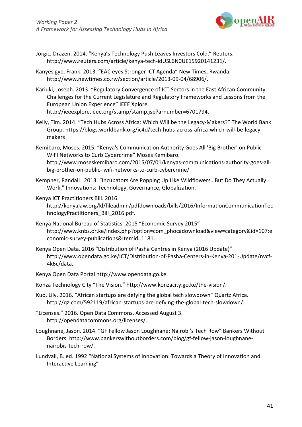

- Jorgic, Drazen. 2014. "Kenya's Technology Push Leaves Investors Cold." Reuters[.](http://www.reuters.com/article/kenya-tech-idUSL6N0UE15920141231/) [http://www.reuters.com/article/kenya-tech-idUSL6N0UE15920141231/.](http://www.reuters.com/article/kenya-tech-idUSL6N0UE15920141231/)
- Kanyesigye, Frank. 2013. "EAC eyes Stronger ICT Agenda" New Times, Rwanda[.](http://www.newtimes.co.rw/section/article/2013-09-04/68906/) [http://www.newtimes.co.rw/section/article/2013-09-04/68906/.](http://www.newtimes.co.rw/section/article/2013-09-04/68906/)
- Kariuki, Joseph. 2013. "Regulatory Convergence of ICT Sectors in the East African Community: Challenges for the Current Legislature and Regulatory Frameworks and Lessons from the European Union Experience" IEEE Xplore[.](http://ieeexplore.ieee.org/stamp/stamp.jsp?arnumber=6701794) [http://ieeexplore.ieee.org/stamp/stamp.jsp?arnumber=6701794.](http://ieeexplore.ieee.org/stamp/stamp.jsp?arnumber=6701794)
- Kelly, Tim. 2014. "Tech Hubs Across Africa: Which Will be the Legacy-Makers?" The World Bank Group. https://blogs.worldbank.org/ic4d/tech-hubs-across-africa-which-will-be-legacymakers
- Kemibaro, Moses. 2015. "Kenya's Communication Authority Goes All 'Big Brother' on Public WIFI Networks to Curb Cybercrime" Moses Kemibaro. [http://www.moseskemibaro.com/2015/07/01/kenyas-communications-authority-goes-all](http://www.moseskemibaro.com/2015/07/01/kenyas-communications-authority-goes-all-)big-brother-on-public- wifi-networks-to-curb-cybercrime/
- Kempner, Randall . 2013. "Incubators Are Popping Up Like Wildflowers…But Do They Actually Work." Innovations: Technology, Governance, Globalization.

#### Kenya ICT Practitioners Bill. 2016[.](http://kenyalaw.org/kl/fileadmin/pdfdownloads/bills/2016/InformationCommunicationTec)

<http://kenyalaw.org/kl/fileadmin/pdfdownloads/bills/2016/InformationCommunicationTec> hnologyPractitioners\_Bill\_2016.pdf.

- Kenya National Bureau of Statistics. 2015 "Economic Survey 2015["](http://www.knbs.or.ke/index.php?option=com_phocadownload&view=category&id=107%3Ae) [http://www.knbs.or.ke/index.php?option=com\\_phocadownload&view=category&id=107:e](http://www.knbs.or.ke/index.php?option=com_phocadownload&view=category&id=107%3Ae) conomic-survey-publications&Itemid=1181.
- Kenya Open Data. 2016 "Distribution of Pasha Centres in Kenya (2016 Update)["](http://www.opendata.go.ke/ICT/Distribution-of-Pasha-Centers-in-Kenya-201-Update/nvcf-) <http://www.opendata.go.ke/ICT/Distribution-of-Pasha-Centers-in-Kenya-201-Update/nvcf->4k6c/data.
- Kenya Open Data Portal [http://www.opendata.go.ke.](http://www.opendata.go.ke/)
- Konza Technology City "The Vision." [http://www.konzacity.go.ke/the-vision/.](http://www.konzacity.go.ke/the-vision/)
- Kuo, Lily. 2016. "African startups are defying the global tech slowdown" Quartz Africa[.](http://qz.com/592119/african-startups-are-defying-the-global-tech-slowdown/) [http://qz.com/592119/african-startups-are-defying-the-global-tech-slowdown/.](http://qz.com/592119/african-startups-are-defying-the-global-tech-slowdown/)
- "Licenses." 2016. Open Data Commons. Accessed August 3[.](http://opendatacommons.org/licenses/) [http://opendatacommons.org/licenses/.](http://opendatacommons.org/licenses/)
- Loughnane, Jason. 2014. "GF Fellow Jason Loughnane: Nairobi's Tech Row" Bankers Without Bor[ders. http://www.bankerswithoutborders.com/blog/gf-fellow-jason-loughnane](http://www.bankerswithoutborders.com/blog/gf-fellow-jason-loughnane-)nairobis-tech-row/.
- Lundvall, B. ed. 1992 "National Systems of Innovation: Towards a Theory of Innovation and Interactive Learning"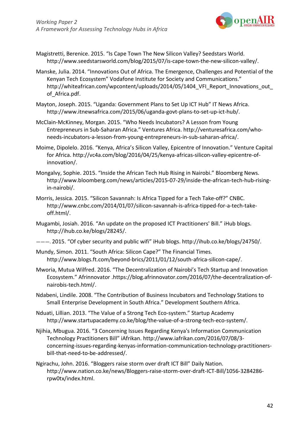

- Magistretti, Berenice. 2015. "Is Cape Town The New Silicon Valley? Seedstars World[.](http://www.seedstarsworld.com/blog/2015/07/is-cape-town-the-new-silicon-valley/) [http://www.seedstarsworld.com/blog/2015/07/is-cape-town-the-new-silicon-valley/.](http://www.seedstarsworld.com/blog/2015/07/is-cape-town-the-new-silicon-valley/)
- Manske, Julia. 2014. "Innovations Out of Africa. The Emergence, Challenges and Potential of the Kenyan Tech Ecosystem" Vodafone Institute for Society and Communications.["](http://whiteafrican.com/wpcontent/uploads/2014/05/1404_VFI_Report_Innovations_out_) http://whiteafrican.com/wpcontent/uploads/2014/05/1404 VFI\_Report\_Innovations\_out of\_Africa.pdf.
- Mayton, Joseph. 2015. "Uganda: Government Plans to Set Up ICT Hub" IT News Africa[.](http://www.itnewsafrica.com/2015/06/uganda-govt-plans-to-set-up-ict-hub/) [http://www.itnewsafrica.com/2015/06/uganda-govt-plans-to-set-up-ict-hub/.](http://www.itnewsafrica.com/2015/06/uganda-govt-plans-to-set-up-ict-hub/)
- McClain-McKinney, Morgan. 2015. "Who Needs Incubators? A Lesson from Young Entrepreneurs in Sub-Saharan Africa." Ventures A[frica. http://venturesafrica.com/who](http://venturesafrica.com/who-)needs-incubators-a-lesson-from-young-entrepreneurs-in-sub-saharan-africa/.
- Moime, Dipolelo. 2016. "Kenya, Africa's Silicon Valley, Epicentre of Innovation." Venture Capital for Africa. [http://vc4a.com/blog/2016/04/25/kenya-africas-silicon-valley-epicentre-of](http://vc4a.com/blog/2016/04/25/kenya-africas-silicon-valley-epicentre-of-)innovation/.
- Mongalvy, Sophie. 2015. "Inside the African Tech Hub Rising in Nairobi." Bloomberg News[.](http://www.bloomberg.com/news/articles/2015-07-29/inside-the-african-tech-hub-rising-) [http://www.bloomberg.com/news/articles/2015-07-29/inside-the-african-tech-hub-rising](http://www.bloomberg.com/news/articles/2015-07-29/inside-the-african-tech-hub-rising-)in-nairobi/.
- Morris, Jessica. 2015. "Silicon Savannah: Is Africa Tipped for a Tech Take-off?" CNBC[.](http://www.cnbc.com/2014/01/07/silicon-savannah-is-africa-tipped-for-a-tech-take-) [http://www.cnbc.com/2014/01/07/silicon-savannah-is-africa-tipped-for-a-tech-take](http://www.cnbc.com/2014/01/07/silicon-savannah-is-africa-tipped-for-a-tech-take-)off.html/.
- Mugambi, Josiah. 2016. "An update on the proposed ICT Practitioners' Bill." iHub blogs[.](http://ihub.co.ke/blogs/28245/) [http://ihub.co.ke/blogs/28245/.](http://ihub.co.ke/blogs/28245/)
- ———. 2015. "Of cyber security and public wifi" iHub [blogs. http://ihub.co.ke/blogs/24750/.](http://ihub.co.ke/blogs/24750/)
- Mundy, Simon. 2011. "South Africa: Silicon Cape?" The Financial Times. [http://www.blogs.ft.com/beyond-brics/2011/01/12/south-africa-silicon-cape/.](http://www.blogs.ft.com/beyond-brics/2011/01/12/south-africa-silicon-cape/)
- Mworia, Mutua Wilfred. 2016. "The Decentralization of Nairobi's Tech Startup and Innovation Ecosystem." Afrinnovator .https://blog.afrinnovator.com/2016/07/the-decentralization-ofnairobis-tech.html/.
- Ndabeni, Lindile. 2008. "The Contribution of Business Incubators and Technology Stations to Small Enterprise Development in South Africa." Development Southern Africa.
- Nduati, Lillian. 2013. "The Value of a Strong Tech Eco-system." Startup Academ[y](http://www.startupacademy.co.ke/blog/the-value-of-a-strong-tech-eco-system/) [http://www.startupacademy.co.ke/blog/the-value-of-a-strong-tech-eco-system/.](http://www.startupacademy.co.ke/blog/the-value-of-a-strong-tech-eco-system/)
- Njihia, Mbugua. 2016. "3 Concerning Issues Regarding Kenya's Information Communication Technology Practitioners Bill" iAfrikan. [http://www.iafrikan.com/2016/07/08/3](http://www.iafrikan.com/2016/07/08/3-) concerning-issues-regarding-kenyas-information-communication-technology-practitionersbill-that-need-to-be-addressed/.
- Ngirachu, John. 2016. "Bloggers raise storm over draft ICT Bill" Daily Nation[.](http://www.nation.co.ke/news/Bloggers-raise-storm-over-draft-ICT-Bill/1056-3284286-) [http://www.nation.co.ke/news/Bloggers-raise-storm-over-draft-ICT-Bill/1056-3284286](http://www.nation.co.ke/news/Bloggers-raise-storm-over-draft-ICT-Bill/1056-3284286-) rpw0tx/index.html.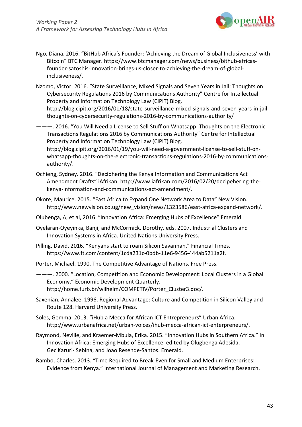

- Ngo, Diana. 2016. "BitHub Africa's Founder: 'Achieving the Dream of Global Inclusiveness' with Bitcoin" BTC Manager. https:[//www.btcmanager.com/news/business/bithub-africas](http://www.btcmanager.com/news/business/bithub-africas-)founder-satoshis-innovation-brings-us-closer-to-achieving-the-dream-of-globalinclusiveness/.
- Nzomo, Victor. 2016. "State Surveillance, Mixed Signals and Seven Years in Jail: Thoughts on Cybersecurity Regulations 2016 by Communications Authority" Centre for Intellectual Property and Information Technology Law (CIPIT) Blog[.](http://blog.cipit.org/2016/01/18/state-surveillance-mixed-signals-and-seven-years-in-jail-) [http://blog.cipit.org/2016/01/18/state-surveillance-mixed-signals-and-seven-years-in-jail](http://blog.cipit.org/2016/01/18/state-surveillance-mixed-signals-and-seven-years-in-jail-)thoughts-on-cybersecurity-regulations-2016-by-communications-authority/

———. 2016. "You Will Need a License to Sell Stuff on Whatsapp: Thoughts on the Electronic Transactions Regulations 2016 by Communications Authority" Centre for Intellectual Property and Information Technology Law (CIPIT) Blog[.](http://blog.cipit.org/2016/01/19/you-will-need-a-government-license-to-sell-stuff-on-) [http://blog.cipit.org/2016/01/19/you-will-need-a-government-license-to-sell-stuff-on](http://blog.cipit.org/2016/01/19/you-will-need-a-government-license-to-sell-stuff-on-)whatsapp-thoughts-on-the-electronic-transactions-regulations-2016-by-communicationsauthority/.

- Ochieng, Sydney. 2016. "Deciphering the Kenya Information and Communications Act Amendment Drafts" iAfrika[n. http://www.iafrikan.com/2016/02/20/decipehering-the](http://www.iafrikan.com/2016/02/20/decipehering-the-)kenya-information-and-communications-act-amendment/.
- Okore, Maurice. 2015. "East Africa to Expand One Network Area to Data" New Vision[.](http://www.newvision.co.ug/new_vision/news/1323586/east-africa-expand-network/) [http://www.newvision.co.ug/new\\_vision/news/1323586/east-africa-expand-network/.](http://www.newvision.co.ug/new_vision/news/1323586/east-africa-expand-network/)
- Olubenga, A, et al, 2016. "Innovation Africa: Emerging Hubs of Excellence" Emerald.
- Oyelaran-Oyeyinka, Banji, and McCormick, Dorothy. eds. 2007. Industrial Clusters and Innovation Systems in Africa. United Nations University Press.
- Pilling, David. 2016. "Kenyans start to roam Silicon Savannah." Financial Times. https:[//www.ft.com/content/1cda231c-0bdb-11e6-9456-444ab5211a2f.](http://www.ft.com/content/1cda231c-0bdb-11e6-9456-444ab5211a2f)

Porter, Michael. 1990. The Competitive Advantage of Nations. Free Press.

———. 2000. "Location, Competition and Economic Development: Local Clusters in a Global Economy." Economic Development Quarterly[.](http://home.furb.br/wilhelm/COMPETIV/Porter_Cluster3.doc/) [http://home.furb.br/wilhelm/COMPETIV/Porter\\_Cluster3.doc/.](http://home.furb.br/wilhelm/COMPETIV/Porter_Cluster3.doc/)

- Saxenian, Annalee. 1996. Regional Advantage: Culture and Competition in Silicon Valley and Route 128. Harvard University Press.
- Soles, Gemma. 2013. "iHub a Mecca for African ICT Entrepreneurs" Urban Africa[.](http://www.urbanafrica.net/urban-voices/ihub-mecca-african-ict-enterpreneurs/) [http://www.urbanafrica.net/urban-voices/ihub-mecca-african-ict-enterpreneurs/.](http://www.urbanafrica.net/urban-voices/ihub-mecca-african-ict-enterpreneurs/)
- Raymond, Neville, and Kraemer-Mbula, Erika. 2015. "Innovation Hubs in Southern Africa." In Innovation Africa: Emerging Hubs of Excellence, edited by Olugbenga Adesida, GeciKaruri- Sebina, and Joao Resende-Santos. Emerald.
- Rambo, Charles. 2013. "Time Required to Break-Even for Small and Medium Enterprises: Evidence from Kenya." International Journal of Management and Marketing Research.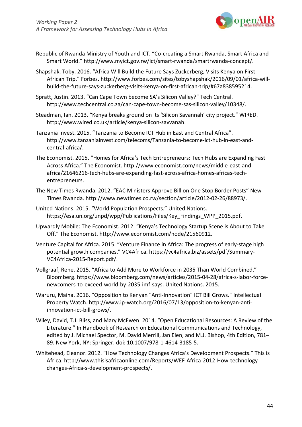

- Republic of Rwanda Ministry of Youth and ICT. "Co-creating a Smart Rwanda, Smart Africa and Smart World." [http://www.myict.gov.rw/ict/smart-rwanda/smartrwanda-concept/.](http://www.myict.gov.rw/ict/smart-rwanda/smartrwanda-concept/)
- Shapshak, Toby. 2016. "Africa Will Build the Future Says Zuckerberg, Visits Kenya on First African Trip." Fo[rbes. http://www.forbes.com/sites/tobyshapshak/2016/09/01/africa-will](http://www.forbes.com/sites/tobyshapshak/2016/09/01/africa-will-)build-the-future-says-zuckerberg-visits-kenya-on-first-african-trip/#67a838595214.
- Spratt, Justin. 2013. "Can Cape Town become SA's Silicon Valley?" Tech Central[.](http://www.techcentral.co.za/can-cape-town-become-sas-silicon-valley/10348/) [http://www.techcentral.co.za/can-cape-town-become-sas-silicon-valley/10348/.](http://www.techcentral.co.za/can-cape-town-become-sas-silicon-valley/10348/)
- Steadman, Ian. 2013. "Kenya breaks ground on its 'Silicon Savannah' city project." WIRED[.](http://www.wired.co.uk/article/kenya-silicon-savvanah) [http://www.wired.co.uk/article/kenya-silicon-savvanah.](http://www.wired.co.uk/article/kenya-silicon-savvanah)
- Tanzania Invest. 2015. "Tanzania to Become ICT Hub in East and Central Africa"[.](http://www.tanzaniainvest.com/telecoms/Tanzania-to-become-ict-hub-in-east-and-) [http://www.tanzaniainvest.com/telecoms/Tanzania-to-become-ict-hub-in-east-and](http://www.tanzaniainvest.com/telecoms/Tanzania-to-become-ict-hub-in-east-and-)central-africa/.
- The Economist. 2015. "Homes for Africa's Tech Entrepreneurs: Tech Hubs are Expanding Fast Across Africa." The Economist[. http://www.economist.com/news/middle-east-and](http://www.economist.com/news/middle-east-and-)africa/21646216-tech-hubs-are-expanding-fast-across-africa-homes-africas-techentrepreneurs.
- The New Times Rwanda. 2012. "EAC Ministers Approve Bill on One Stop Border Posts" New Times Rwanda. [http://www.newtimes.co.rw/section/article/2012-02-26/88973/.](http://www.newtimes.co.rw/section/article/2012-02-26/88973/)
- United Nations. 2015. "World Population Prospects." United Nations. https://esa.un.org/unpd/wpp/Publications/Files/Key\_Findings\_WPP\_2015.pdf.
- Upwardly Mobile: The Economist. 2012. "Kenya's Technology Startup Scene is About to Take Off." The Economist. [http://www.economist.com/node/21560912.](http://www.economist.com/node/21560912)
- Venture Capital for Africa. 2015. "Venture Finance in Africa: The progress of early-stage high potential growth companies." VC4Africa. https://vc4africa.biz/assets/pdf/Summary-VC4Africa-2015-Report.pdf/.
- Vollgraaf, Rene. 2015. "Africa to Add More to Workforce in 2035 Than World Combined." Bloomberg. https[://www.bloomberg.com/news/articles/2015-04-28/africa-s-labor-force](http://www.bloomberg.com/news/articles/2015-04-28/africa-s-labor-force-)newcomers-to-exceed-world-by-2035-imf-says. United Nations. 2015.
- Waruru, Maina. 2016. "Opposition to Kenyan "Anti-Innovation" ICT Bill Grows." Intellectual Property Watch. [http://www.ip-watch.org/2016/07/13/opposition-to-kenyan-anti](http://www.ip-watch.org/2016/07/13/opposition-to-kenyan-anti-)innovation-ict-bill-grows/.
- Wiley, David, T.J. Bliss, and Mary McEwen. 2014. "Open Educational Resources: A Review of the Literature." In Handbook of Research on Educational Communications and Technology, edited by J. Michael Spector, M. David Merrill, Jan Elen, and M.J. Bishop, 4th Edition, 781– 89. New York, NY: Springer. doi: 10.1007/978-1-4614-3185-5.
- Whitehead, Eleanor. 2012. "How Technology Changes Africa's Development Prospects." This is A[frica. http://www.thisisafricaonline.com/Reports/WEF-Africa-2012-How-technology](http://www.thisisafricaonline.com/Reports/WEF-Africa-2012-How-technology-)changes-Africa-s-development-prospects/.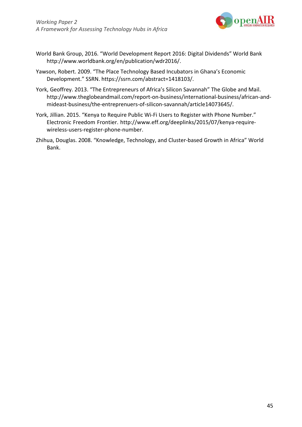

- World Bank Group, 2016. "World Development Report 2016: Digital Dividends" World Ban[k](http://www.worldbank.org/en/publication/wdr2016/) [http://www.worldbank.org/en/publication/wdr2016/.](http://www.worldbank.org/en/publication/wdr2016/)
- Yawson, Robert. 2009. "The Place Technology Based Incubators in Ghana's Economic Development." SSRN. https://ssrn.com/abstract=1418103/.
- York, Geoffrey. 2013. "The Entrepreneurs of Africa's Silicon Savannah" The Globe and Mail[.](http://www.theglobeandmail.com/report-on-business/international-business/african-and-) [http://www.theglobeandmail.com/report-on-business/international-business/african-and](http://www.theglobeandmail.com/report-on-business/international-business/african-and-)mideast-business/the-entreprenuers-of-silicon-savannah/article14073645/.
- York, Jillian. 2015. "Kenya to Require Public Wi-Fi Users to Register with Phone Number." Electronic Freedom Frontier. [http://www.eff.org/deeplinks/2015/07/kenya-require](http://www.eff.org/deeplinks/2015/07/kenya-require-)wireless-users-register-phone-number.
- Zhihua, Douglas. 2008. "Knowledge, Technology, and Cluster-based Growth in Africa" World Bank.